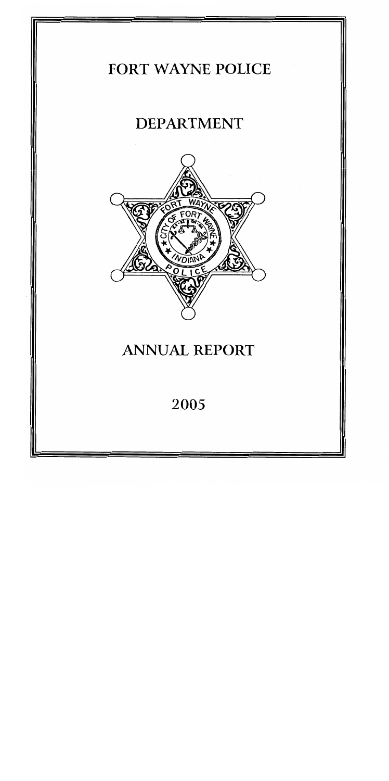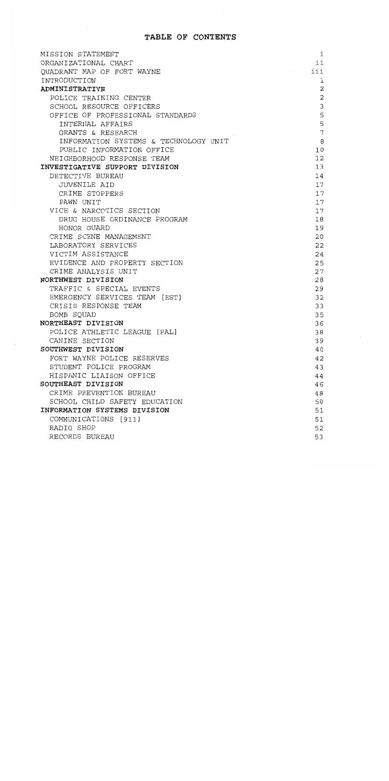## TABLE OF CONTENTS

| MISSION STATEMENT                             | i        |
|-----------------------------------------------|----------|
| ORGANIZATIONAL CHART                          | ii       |
| QUADRANT MAP OF FORT WAYNE                    | iii      |
| INTRODUCTION                                  | 1        |
| <b>ADMINISTRATIVE</b>                         | 2        |
| POLICE TRAINING CENTER                        | 2        |
| SCHOOL RESOURCE OFFICERS                      | 3        |
| OFFICE OF PROFESSIONAL STANDARDS              | 5        |
| INTERNAL AFFAIRS                              | 5        |
| GRANTS & RESEARCH                             | 7        |
| INFORMATION SYSTEMS & TECHNOLOGY UNIT         | 8        |
| PUBLIC INFORMATION OFFICE                     | 10       |
| NEIGHBORHOOD RESPONSE TEAM                    | 12       |
| INVESTIGATIVE SUPPORT DIVISION                | 13       |
| DETECTIVE BUREAU                              | 14       |
| <b>JUVENILE AID</b>                           | 17       |
| CRIME STOPPERS                                | 17       |
| PAWN UNIT                                     | 17       |
| VICE & NARCOTICS SECTION                      | 17       |
| DRUG HOUSE ORDINANCE PROGRAM                  | 18       |
| HONOR GUARD                                   | 19       |
| CRIME SCENE MANAGEMENT                        | 20       |
| LABORATORY SERVICES                           | 22       |
| VICTIM ASSISTANCE                             | 24       |
| EVIDENCE AND PROPERTY SECTION                 | 25       |
| CRIME ANALYSIS UNIT                           | 27       |
| NORTHWEST DIVISION                            | 28       |
| TRAFFIC & SPECIAL EVENTS                      | 29       |
| EMERGENCY SERVICES TEAM [EST]                 | 32       |
| CRISIS RESPONSE TEAM                          | 33       |
| BOMB SQUAD                                    | 35       |
| NORTHEAST DIVISION                            | 36       |
| POLICE ATHLETIC LEAGUE [PAL]                  | 38       |
| CANINE SECTION                                | 39       |
| SOUTHWEST DIVISION                            | 40       |
| FORT WAYNE POLICE RESERVES                    | 42       |
| STUDENT POLICE PROGRAM                        | 43       |
| HISPANIC LIAISON OFFICE<br>SOUTHEAST DIVISION | 44       |
| CRIME PREVENTION BUREAU                       | 46       |
| SCHOOL CHILD SAFETY EDUCATION                 | 48       |
| INFORMATION SYSTEMS DIVISION                  | 50       |
| COMMUNICATIONS [911]                          | 51<br>51 |
| RADIO SHOP                                    | 52       |
| RECORDS BUREAU                                | 53       |
|                                               |          |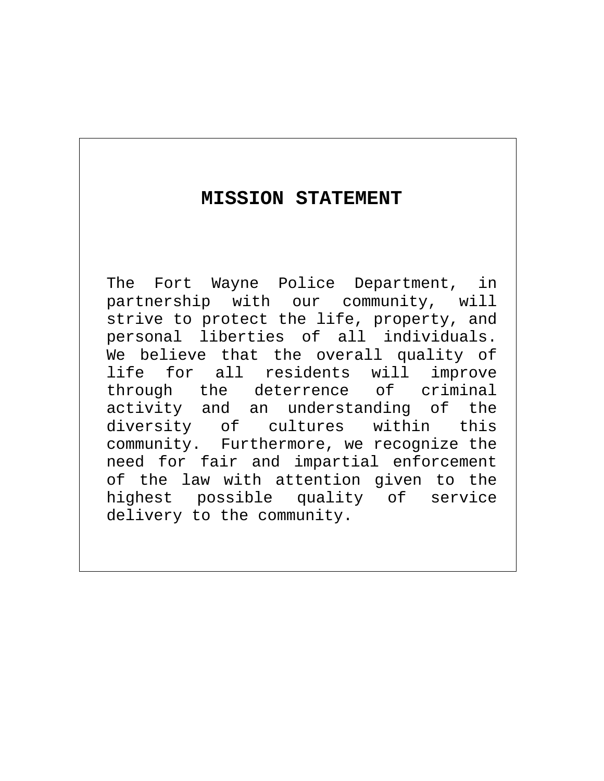## **MISSION STATEMENT**

The Fort Wayne Police Department, in partnership with our community, will strive to protect the life, property, and personal liberties of all individuals. We believe that the overall quality of life for all residents will improve through the deterrence of criminal activity and an understanding of the diversity of cultures within this community. Furthermore, we recognize the need for fair and impartial enforcement of the law with attention given to the highest possible quality of service delivery to the community.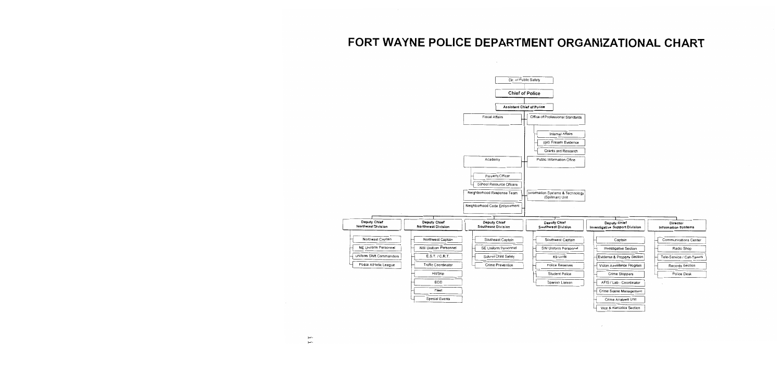## FORT WAYNE POLICE DEPARTMENT ORGANIZATIONAL CHART

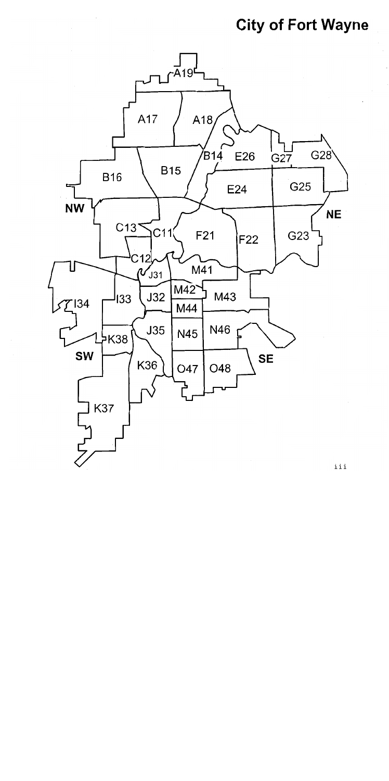# **City of Fort Wayne**



iii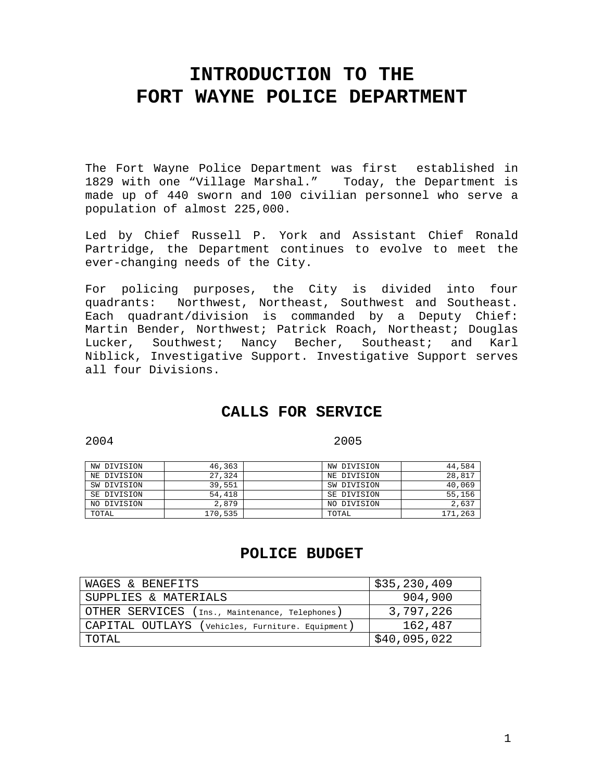## **INTRODUCTION TO THE FORT WAYNE POLICE DEPARTMENT**

The Fort Wayne Police Department was first established in 1829 with one "Village Marshal." Today, the Department is made up of 440 sworn and 100 civilian personnel who serve a population of almost 225,000.

Led by Chief Russell P. York and Assistant Chief Ronald Partridge, the Department continues to evolve to meet the ever-changing needs of the City.

For policing purposes, the City is divided into four quadrants: Northwest, Northeast, Southwest and Southeast. Each quadrant/division is commanded by a Deputy Chief: Martin Bender, Northwest; Patrick Roach, Northeast; Douglas Lucker, Southwest; Nancy Becher, Southeast; and Karl Niblick, Investigative Support. Investigative Support serves all four Divisions.

## **CALLS FOR SERVICE**

2004 2005

| NW DIVISION | 46,363  | NW DIVISION | 44,584  |
|-------------|---------|-------------|---------|
| NE DIVISION | 27,324  | NE DIVISION | 28,817  |
| SW DIVISION | 39,551  | SW DIVISION | 40,069  |
| SE DIVISION | 54,418  | SE DIVISION | 55,156  |
| NO DIVISION | 2,879   | NO DIVISION | 2,637   |
| TOTAL       | 170,535 | TOTAL       | 171,263 |

## **POLICE BUDGET**

| WAGES & BENEFITS                                 | \$35,230,409 |
|--------------------------------------------------|--------------|
| SUPPLIES & MATERIALS                             | 904,900      |
| OTHER SERVICES (Ins., Maintenance, Telephones)   | 3,797,226    |
| CAPITAL OUTLAYS (Vehicles, Furniture. Equipment) | 162,487      |
| TOTAL                                            | \$40,095,022 |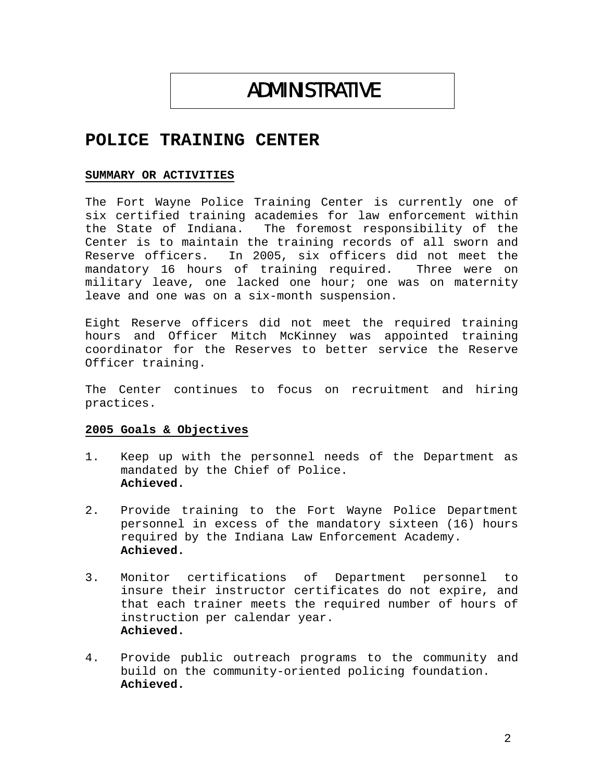# ADMINISTRATIVE

## **POLICE TRAINING CENTER**

#### **SUMMARY OR ACTIVITIES**

The Fort Wayne Police Training Center is currently one of six certified training academies for law enforcement within the State of Indiana. The foremost responsibility of the Center is to maintain the training records of all sworn and Reserve officers. In 2005, six officers did not meet the mandatory 16 hours of training required. Three were on military leave, one lacked one hour; one was on maternity leave and one was on a six-month suspension.

Eight Reserve officers did not meet the required training hours and Officer Mitch McKinney was appointed training coordinator for the Reserves to better service the Reserve Officer training.

The Center continues to focus on recruitment and hiring practices.

#### **2005 Goals & Objectives**

- 1. Keep up with the personnel needs of the Department as mandated by the Chief of Police. **Achieved.**
- 2. Provide training to the Fort Wayne Police Department personnel in excess of the mandatory sixteen (16) hours required by the Indiana Law Enforcement Academy. **Achieved.**
- 3. Monitor certifications of Department personnel to insure their instructor certificates do not expire, and that each trainer meets the required number of hours of instruction per calendar year. **Achieved.**
- 4. Provide public outreach programs to the community and build on the community-oriented policing foundation. **Achieved.**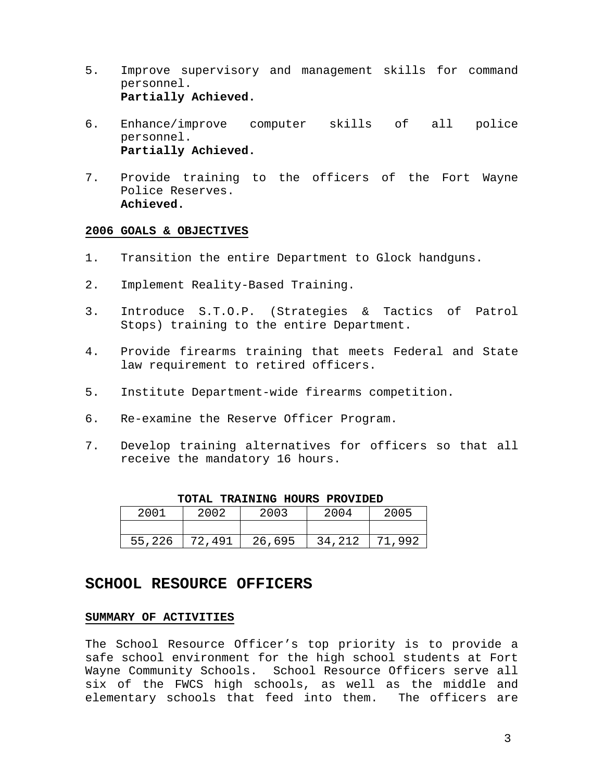- 5. Improve supervisory and management skills for command personnel. **Partially Achieved.**
- 6. Enhance/improve computer skills of all police personnel. **Partially Achieved.**
- 7. Provide training to the officers of the Fort Wayne Police Reserves. **Achieved.**

- 1. Transition the entire Department to Glock handguns.
- 2. Implement Reality-Based Training.
- 3. Introduce S.T.O.P. (Strategies & Tactics of Patrol Stops) training to the entire Department.
- 4. Provide firearms training that meets Federal and State law requirement to retired officers.
- 5. Institute Department-wide firearms competition.
- 6. Re-examine the Reserve Officer Program.
- 7. Develop training alternatives for officers so that all receive the mandatory 16 hours.

| 2001   | 2002   | 2003   | 2004   | 2005   |
|--------|--------|--------|--------|--------|
|        |        |        |        |        |
| 55,226 | 72,491 | 26,695 | 34,212 | 71,992 |

 **TOTAL TRAINING HOURS PROVIDED**

### **SCHOOL RESOURCE OFFICERS**

#### **SUMMARY OF ACTIVITIES**

The School Resource Officer's top priority is to provide a safe school environment for the high school students at Fort Wayne Community Schools. School Resource Officers serve all six of the FWCS high schools, as well as the middle and elementary schools that feed into them. The officers are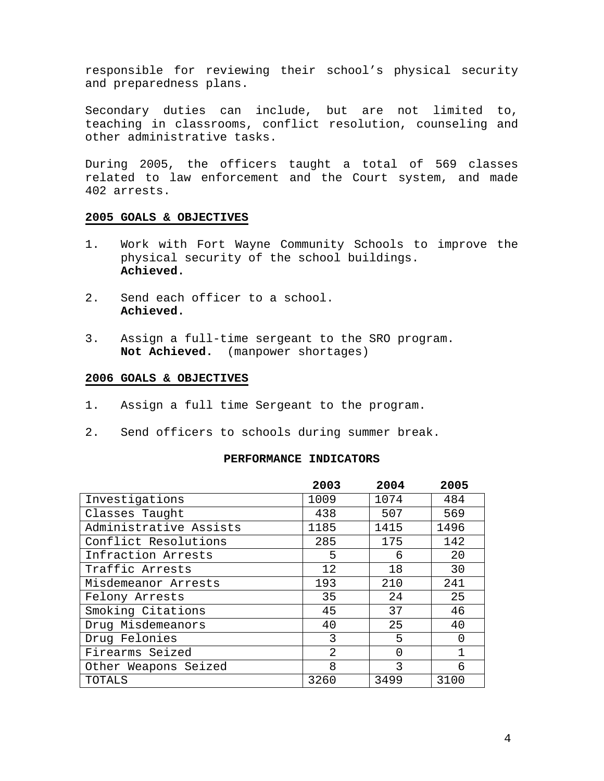responsible for reviewing their school's physical security and preparedness plans.

Secondary duties can include, but are not limited to, teaching in classrooms, conflict resolution, counseling and other administrative tasks.

During 2005, the officers taught a total of 569 classes related to law enforcement and the Court system, and made 402 arrests.

#### **2005 GOALS & OBJECTIVES**

- 1. Work with Fort Wayne Community Schools to improve the physical security of the school buildings. **Achieved.**
- 2. Send each officer to a school. **Achieved.**
- 3. Assign a full-time sergeant to the SRO program. **Not Achieved.** (manpower shortages)

#### **2006 GOALS & OBJECTIVES**

- 1. Assign a full time Sergeant to the program.
- 2. Send officers to schools during summer break.

#### **PERFORMANCE INDICATORS**

|                        | 2003           | 2004     | 2005     |
|------------------------|----------------|----------|----------|
| Investigations         | 1009           | 1074     | 484      |
| Classes Taught         | 438            | 507      | 569      |
| Administrative Assists | 1185           | 1415     | 1496     |
| Conflict Resolutions   | 285            | 175      | 142      |
| Infraction Arrests     | 5              | 6        | 20       |
| Traffic Arrests        | 12             | 18       | 30       |
| Misdemeanor Arrests    | 193            | 210      | 241      |
| Felony Arrests         | 35             | 24       | 25       |
| Smoking Citations      | 45             | 37       | 46       |
| Drug Misdemeanors      | 40             | 25       | 40       |
| Drug Felonies          | 3              | 5        | $\Omega$ |
| Firearms Seized        | $\overline{2}$ | $\Omega$ | 1        |
| Other Weapons Seized   | 8              | 3        | 6        |
| TOTALS                 | 3260           | 3499     | 3100     |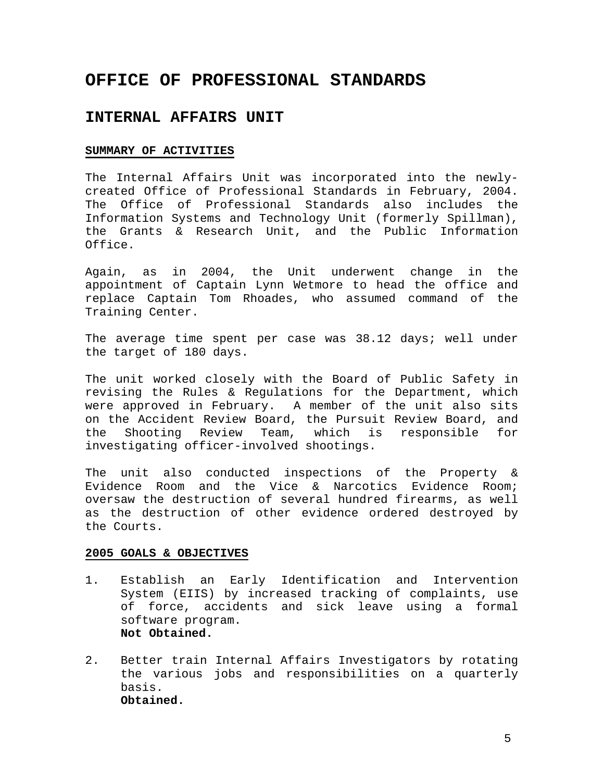## **OFFICE OF PROFESSIONAL STANDARDS**

### **INTERNAL AFFAIRS UNIT**

#### **SUMMARY OF ACTIVITIES**

The Internal Affairs Unit was incorporated into the newlycreated Office of Professional Standards in February, 2004. The Office of Professional Standards also includes the Information Systems and Technology Unit (formerly Spillman), the Grants & Research Unit, and the Public Information Office.

Again, as in 2004, the Unit underwent change in the appointment of Captain Lynn Wetmore to head the office and replace Captain Tom Rhoades, who assumed command of the Training Center.

The average time spent per case was 38.12 days; well under the target of 180 days.

The unit worked closely with the Board of Public Safety in revising the Rules & Regulations for the Department, which were approved in February. A member of the unit also sits on the Accident Review Board, the Pursuit Review Board, and the Shooting Review Team, which is responsible for investigating officer-involved shootings.

The unit also conducted inspections of the Property & Evidence Room and the Vice & Narcotics Evidence Room; oversaw the destruction of several hundred firearms, as well as the destruction of other evidence ordered destroyed by the Courts.

- 1. Establish an Early Identification and Intervention System (EIIS) by increased tracking of complaints, use of force, accidents and sick leave using a formal software program. **Not Obtained.**
- 2. Better train Internal Affairs Investigators by rotating the various jobs and responsibilities on a quarterly basis. **Obtained.**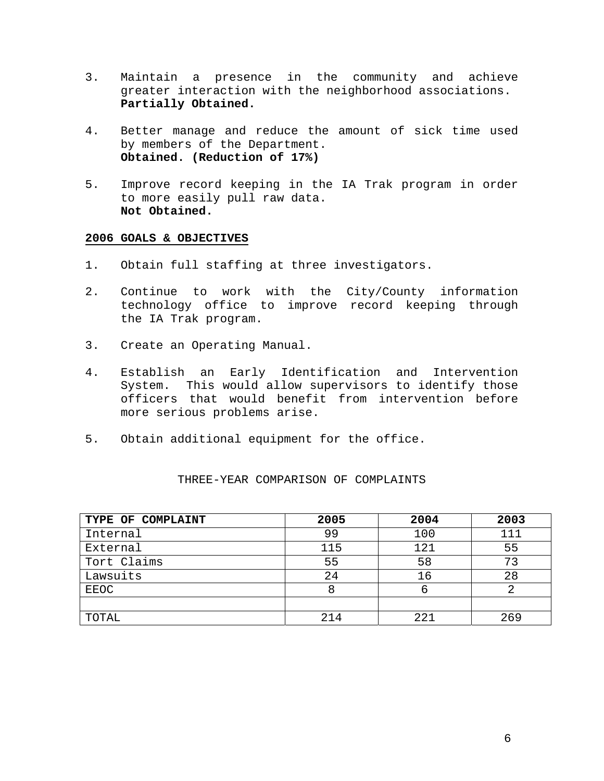- 3. Maintain a presence in the community and achieve greater interaction with the neighborhood associations. **Partially Obtained.**
- 4. Better manage and reduce the amount of sick time used by members of the Department. **Obtained. (Reduction of 17%)**
- 5. Improve record keeping in the IA Trak program in order to more easily pull raw data. **Not Obtained.**

- 1. Obtain full staffing at three investigators.
- 2. Continue to work with the City/County information technology office to improve record keeping through the IA Trak program.
- 3. Create an Operating Manual.
- 4. Establish an Early Identification and Intervention System. This would allow supervisors to identify those officers that would benefit from intervention before more serious problems arise.
- 5. Obtain additional equipment for the office.

| TYPE OF COMPLAINT | 2005 | 2004 | 2003 |
|-------------------|------|------|------|
| Internal          | 99   | 100  | 111  |
| External          | 115  | 121  | 55   |
| Tort Claims       | 55   | 58   | 73   |
| Lawsuits          | 24   | 16   | 28   |
| EEOC              | 8    | ь    |      |
|                   |      |      |      |
| TOTAL             | 214  | 221  | 269  |

#### THREE-YEAR COMPARISON OF COMPLAINTS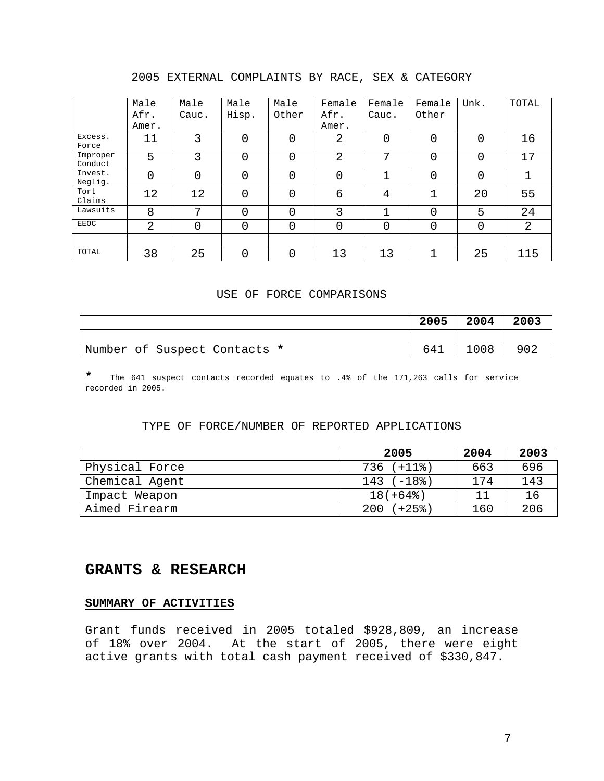#### 2005 EXTERNAL COMPLAINTS BY RACE, SEX & CATEGORY

|                     | Male           | Male  | Male  | Male     | Female | Female | Female   | Unk. | TOTAL |
|---------------------|----------------|-------|-------|----------|--------|--------|----------|------|-------|
|                     | Afr.           | Cauc. | Hisp. | Other    | Afr.   | Cauc.  | Other    |      |       |
|                     | Amer.          |       |       |          | Amer.  |        |          |      |       |
| Excess.<br>Force    | 11             | 3     | 0     | 0        | 2      | 0      | 0        | 0    | 16    |
| Improper<br>Conduct | 5              | 3     | 0     | 0        | 2      | 7      | $\Omega$ | 0    | 17    |
| Invest.<br>Neglig.  | $\Omega$       | 0     | 0     | $\Omega$ | 0      |        | 0        | 0    |       |
| Tort<br>Claims      | 12             | 12    | 0     | $\Omega$ | 6      | 4      | 1        | 20   | 55    |
| Lawsuits            | 8              | 7     | Ω     | $\Omega$ | 3      |        | $\Omega$ | 5    | 24    |
| <b>EEOC</b>         | $\overline{2}$ | 0     | 0     | 0        | 0      | 0      | 0        | 0    | 2     |
|                     |                |       |       |          |        |        |          |      |       |
| TOTAL               | 38             | 25    | 0     | 0        | 13     | 13     | 1        | 25   | 115   |

#### USE OF FORCE COMPARISONS

|                              | 2005 | 2004 | 2003 |
|------------------------------|------|------|------|
|                              |      |      |      |
| Number of Suspect Contacts * | 641  | 1008 | 902  |

**\*** The 641 suspect contacts recorded equates to .4% of the 171,263 calls for service recorded in 2005.

#### TYPE OF FORCE/NUMBER OF REPORTED APPLICATIONS

|                | 2005         | 2004 | 2003 |
|----------------|--------------|------|------|
| Physical Force | $736 (+118)$ | 663  | 696  |
| Chemical Agent | $143 (-18)$  | 174  | 143  |
| Impact Weapon  | $18(+64$ $)$ |      | 16   |
| Aimed Firearm  | $200 (+25)$  | 160  | 206  |

## **GRANTS & RESEARCH**

#### **SUMMARY OF ACTIVITIES**

Grant funds received in 2005 totaled \$928,809, an increase of 18% over 2004. At the start of 2005, there were eight active grants with total cash payment received of \$330,847.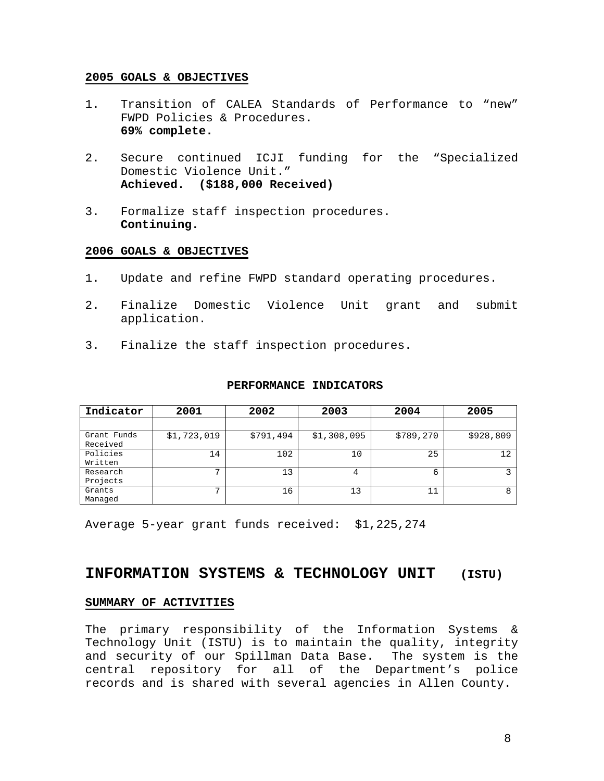- 1. Transition of CALEA Standards of Performance to "new" FWPD Policies & Procedures. **69% complete.**
- 2. Secure continued ICJI funding for the "Specialized Domestic Violence Unit." **Achieved. (\$188,000 Received)**
- 3. Formalize staff inspection procedures. **Continuing.**

#### **2006 GOALS & OBJECTIVES**

- 1. Update and refine FWPD standard operating procedures.
- 2. Finalize Domestic Violence Unit grant and submit application.
- 3. Finalize the staff inspection procedures.

| Indicator               | 2001         | 2002      | 2003        | 2004      | 2005      |
|-------------------------|--------------|-----------|-------------|-----------|-----------|
|                         |              |           |             |           |           |
| Grant Funds<br>Received | \$1,723,019  | \$791,494 | \$1,308,095 | \$789,270 | \$928,809 |
| Policies<br>Written     | 14           | 102       | 10          | 25        | 12        |
| Research<br>Projects    | $\mathbf{r}$ | 13        | 4           | 6         |           |
| Grants<br>Managed       | $\mathbf{r}$ | 16        | 13          | 11        | 8         |

#### **PERFORMANCE INDICATORS**

Average 5-year grant funds received: \$1,225,274

## **INFORMATION SYSTEMS & TECHNOLOGY UNIT (ISTU)**

#### **SUMMARY OF ACTIVITIES**

The primary responsibility of the Information Systems & Technology Unit (ISTU) is to maintain the quality, integrity and security of our Spillman Data Base. The system is the central repository for all of the Department's police records and is shared with several agencies in Allen County.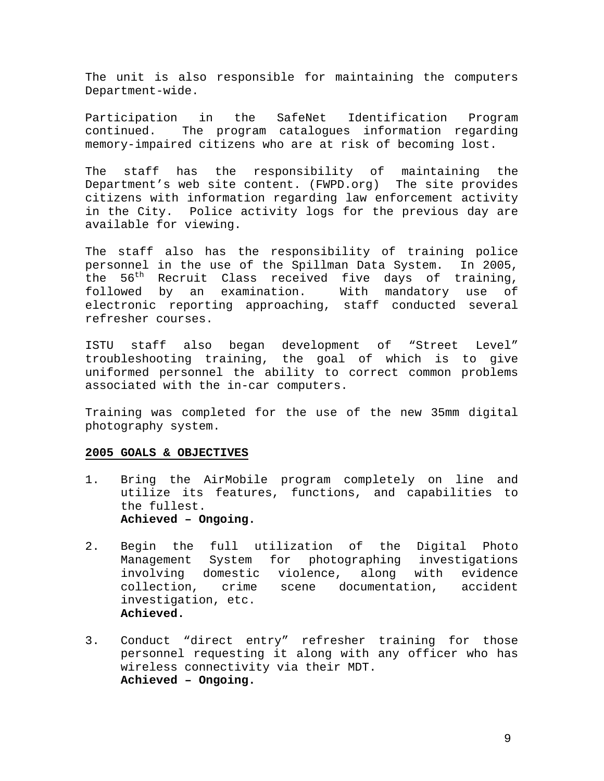The unit is also responsible for maintaining the computers Department-wide.

Participation in the SafeNet Identification Program continued. The program catalogues information regarding memory-impaired citizens who are at risk of becoming lost.

The staff has the responsibility of maintaining the Department's web site content. (FWPD.org) The site provides citizens with information regarding law enforcement activity in the City. Police activity logs for the previous day are available for viewing.

The staff also has the responsibility of training police personnel in the use of the Spillman Data System. In 2005, the 56<sup>th</sup> Recruit Class received five days of training, followed by an examination. With mandatory use of electronic reporting approaching, staff conducted several refresher courses.

ISTU staff also began development of "Street Level" troubleshooting training, the goal of which is to give uniformed personnel the ability to correct common problems associated with the in-car computers.

Training was completed for the use of the new 35mm digital photography system.

- 1. Bring the AirMobile program completely on line and utilize its features, functions, and capabilities to the fullest. **Achieved – Ongoing.**
- 2. Begin the full utilization of the Digital Photo Management System for photographing investigations involving domestic violence, along with evidence collection, crime scene documentation, accident investigation, etc. **Achieved.**
- 3. Conduct "direct entry" refresher training for those personnel requesting it along with any officer who has wireless connectivity via their MDT. **Achieved – Ongoing.**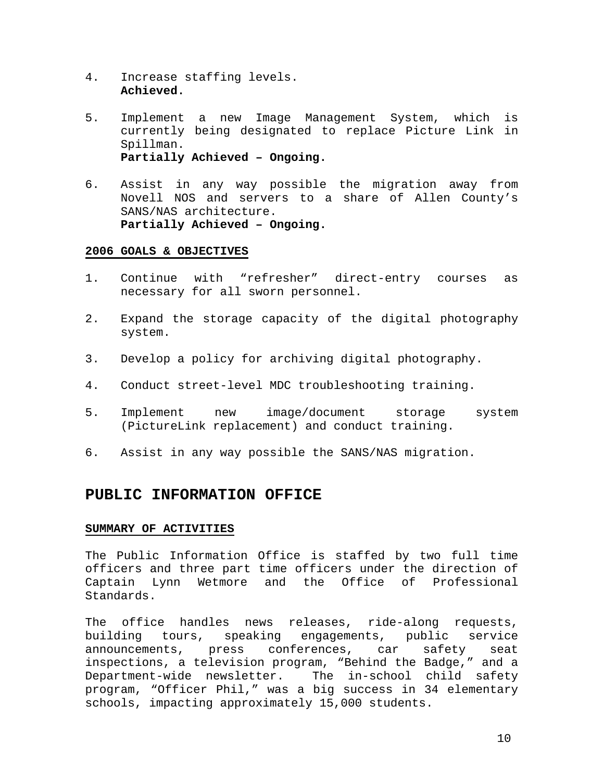- 4. Increase staffing levels. **Achieved.**
- 5. Implement a new Image Management System, which is currently being designated to replace Picture Link in Spillman. **Partially Achieved – Ongoing.**
- 6. Assist in any way possible the migration away from Novell NOS and servers to a share of Allen County's SANS/NAS architecture. **Partially Achieved – Ongoing.**

- 1. Continue with "refresher" direct-entry courses as necessary for all sworn personnel.
- 2. Expand the storage capacity of the digital photography system.
- 3. Develop a policy for archiving digital photography.
- 4. Conduct street-level MDC troubleshooting training.
- 5. Implement new image/document storage system (PictureLink replacement) and conduct training.
- 6. Assist in any way possible the SANS/NAS migration.

### **PUBLIC INFORMATION OFFICE**

#### **SUMMARY OF ACTIVITIES**

The Public Information Office is staffed by two full time officers and three part time officers under the direction of Captain Lynn Wetmore and the Office of Professional Standards.

The office handles news releases, ride-along requests, building tours, speaking engagements, public service announcements, press conferences, car safety seat inspections, a television program, "Behind the Badge," and a Department-wide newsletter. The in-school child safety program, "Officer Phil," was a big success in 34 elementary schools, impacting approximately 15,000 students.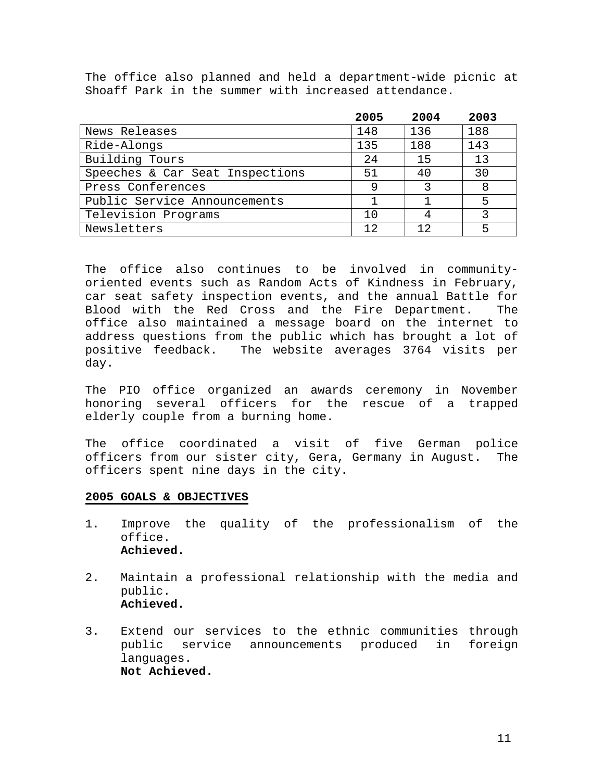The office also planned and held a department-wide picnic at Shoaff Park in the summer with increased attendance.

|                                 | 2005 | 2004 | 2003 |
|---------------------------------|------|------|------|
| News Releases                   | 148  | 136  | 188  |
| Ride-Alongs                     | 135  | 188  | 143  |
| Building Tours                  | 24   | 15   | 13   |
| Speeches & Car Seat Inspections | 51   | 40   | 30   |
| Press Conferences               | 9    | ર    |      |
| Public Service Announcements    |      |      | 5    |
| Television Programs             | 10   |      |      |
| Newsletters                     | 12   | 12   |      |

The office also continues to be involved in communityoriented events such as Random Acts of Kindness in February, car seat safety inspection events, and the annual Battle for Blood with the Red Cross and the Fire Department. The office also maintained a message board on the internet to address questions from the public which has brought a lot of positive feedback. The website averages 3764 visits per day.

The PIO office organized an awards ceremony in November honoring several officers for the rescue of a trapped elderly couple from a burning home.

The office coordinated a visit of five German police officers from our sister city, Gera, Germany in August. The officers spent nine days in the city.

- 1. Improve the quality of the professionalism of the office. **Achieved.**
- 2. Maintain a professional relationship with the media and public. **Achieved.**
- 3. Extend our services to the ethnic communities through public service announcements produced in foreign languages. **Not Achieved.**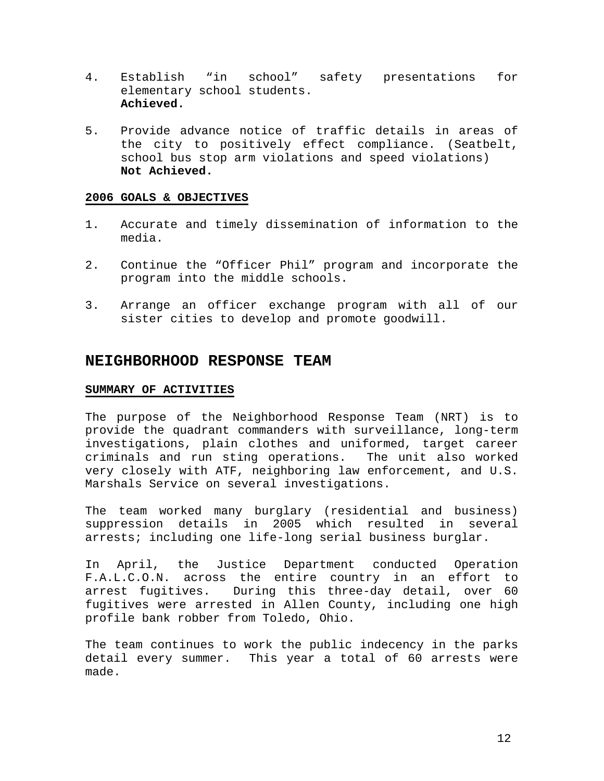- 4. Establish "in school" safety presentations for elementary school students. **Achieved.**
- 5. Provide advance notice of traffic details in areas of the city to positively effect compliance. (Seatbelt, school bus stop arm violations and speed violations) **Not Achieved.**

- 1. Accurate and timely dissemination of information to the media.
- 2. Continue the "Officer Phil" program and incorporate the program into the middle schools.
- 3. Arrange an officer exchange program with all of our sister cities to develop and promote goodwill.

#### **NEIGHBORHOOD RESPONSE TEAM**

#### **SUMMARY OF ACTIVITIES**

The purpose of the Neighborhood Response Team (NRT) is to provide the quadrant commanders with surveillance, long-term investigations, plain clothes and uniformed, target career criminals and run sting operations. The unit also worked very closely with ATF, neighboring law enforcement, and U.S. Marshals Service on several investigations.

The team worked many burglary (residential and business) suppression details in 2005 which resulted in several arrests; including one life-long serial business burglar.

In April, the Justice Department conducted Operation F.A.L.C.O.N. across the entire country in an effort to arrest fugitives. During this three-day detail, over 60 fugitives were arrested in Allen County, including one high profile bank robber from Toledo, Ohio.

The team continues to work the public indecency in the parks detail every summer. This year a total of 60 arrests were made.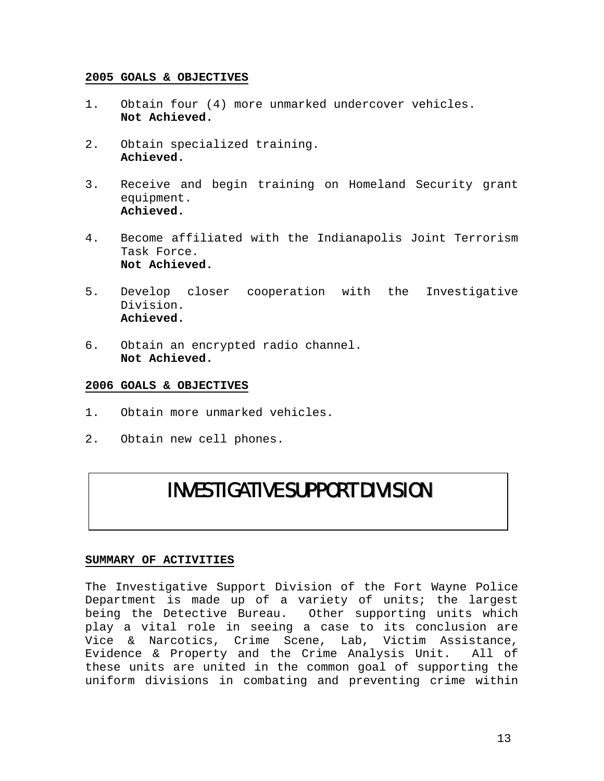- 1. Obtain four (4) more unmarked undercover vehicles. **Not Achieved.**
- 2. Obtain specialized training. **Achieved.**
- 3. Receive and begin training on Homeland Security grant equipment. **Achieved.**
- 4. Become affiliated with the Indianapolis Joint Terrorism Task Force. **Not Achieved.**
- 5. Develop closer cooperation with the Investigative Division. **Achieved.**
- 6. Obtain an encrypted radio channel. **Not Achieved.**

#### **2006 GOALS & OBJECTIVES**

- 1. Obtain more unmarked vehicles.
- 2. Obtain new cell phones.

## INVESTIGATIVE SUPPORT DIVISION

#### **SUMMARY OF ACTIVITIES**

The Investigative Support Division of the Fort Wayne Police Department is made up of a variety of units; the largest being the Detective Bureau. Other supporting units which play a vital role in seeing a case to its conclusion are Vice & Narcotics, Crime Scene, Lab, Victim Assistance, Evidence & Property and the Crime Analysis Unit. All of these units are united in the common goal of supporting the uniform divisions in combating and preventing crime within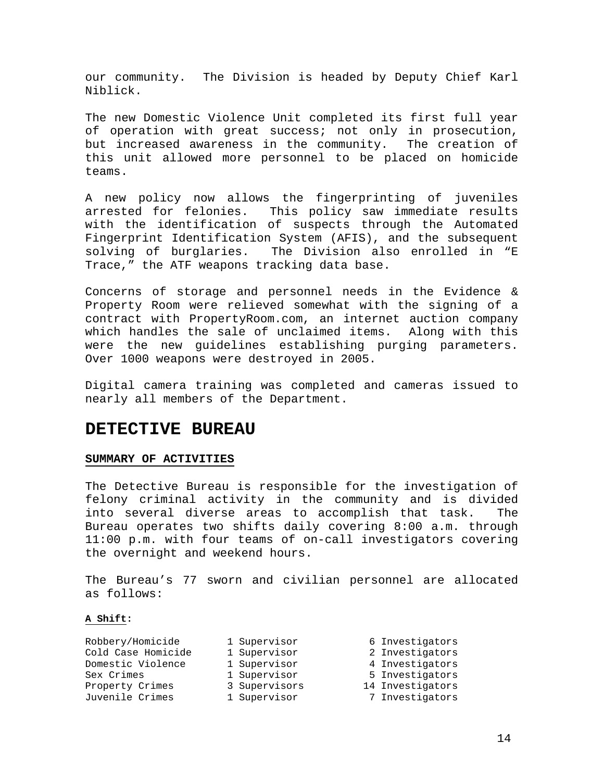our community. The Division is headed by Deputy Chief Karl Niblick.

The new Domestic Violence Unit completed its first full year of operation with great success; not only in prosecution, but increased awareness in the community. The creation of this unit allowed more personnel to be placed on homicide teams.

A new policy now allows the fingerprinting of juveniles arrested for felonies. This policy saw immediate results with the identification of suspects through the Automated Fingerprint Identification System (AFIS), and the subsequent solving of burglaries. The Division also enrolled in "E Trace," the ATF weapons tracking data base.

Concerns of storage and personnel needs in the Evidence & Property Room were relieved somewhat with the signing of a contract with PropertyRoom.com, an internet auction company which handles the sale of unclaimed items. Along with this were the new guidelines establishing purging parameters. Over 1000 weapons were destroyed in 2005.

Digital camera training was completed and cameras issued to nearly all members of the Department.

## **DETECTIVE BUREAU**

#### **SUMMARY OF ACTIVITIES**

The Detective Bureau is responsible for the investigation of felony criminal activity in the community and is divided into several diverse areas to accomplish that task. The Bureau operates two shifts daily covering 8:00 a.m. through 11:00 p.m. with four teams of on-call investigators covering the overnight and weekend hours.

The Bureau's 77 sworn and civilian personnel are allocated as follows:

#### **A Shift:**

| 1 Supervisor  | 6 Investigators  |
|---------------|------------------|
| 1 Supervisor  | 2 Investigators  |
| 1 Supervisor  | 4 Investigators  |
| 1 Supervisor  | 5 Investigators  |
| 3 Supervisors | 14 Investigators |
| 1 Supervisor  | 7 Investigators  |
|               |                  |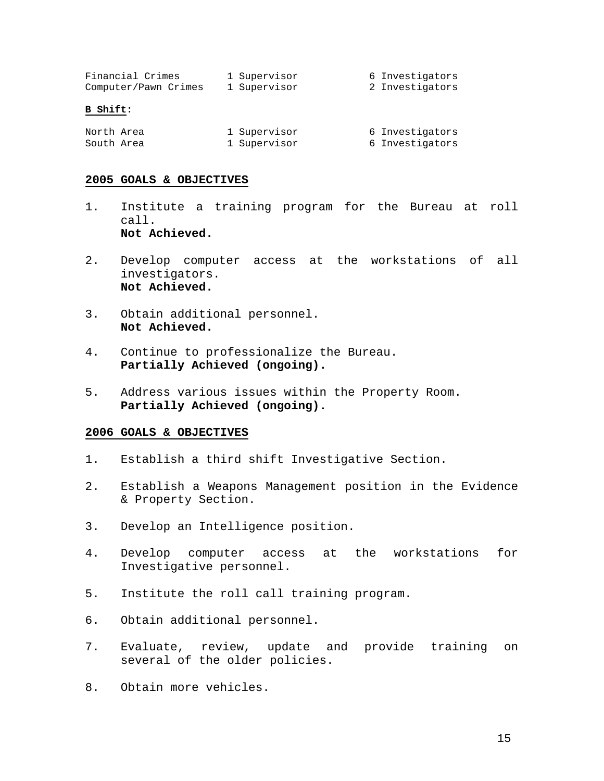| Financial Crimes     | 1 Supervisor | 6 Investigators |
|----------------------|--------------|-----------------|
| Computer/Pawn Crimes | 1 Supervisor | 2 Investigators |

#### **B Shift:**

| North Area | 1 Supervisor | 6 Investigators |
|------------|--------------|-----------------|
| South Area | 1 Supervisor | 6 Investigators |

#### **2005 GOALS & OBJECTIVES**

- 1. Institute a training program for the Bureau at roll call. **Not Achieved.**
- 2. Develop computer access at the workstations of all investigators. **Not Achieved.**
- 3. Obtain additional personnel. **Not Achieved.**
- 4. Continue to professionalize the Bureau. **Partially Achieved (ongoing).**
- 5. Address various issues within the Property Room. **Partially Achieved (ongoing).**

- 1. Establish a third shift Investigative Section.
- 2. Establish a Weapons Management position in the Evidence & Property Section.
- 3. Develop an Intelligence position.
- 4. Develop computer access at the workstations for Investigative personnel.
- 5. Institute the roll call training program.
- 6. Obtain additional personnel.
- 7. Evaluate, review, update and provide training on several of the older policies.
- 8. Obtain more vehicles.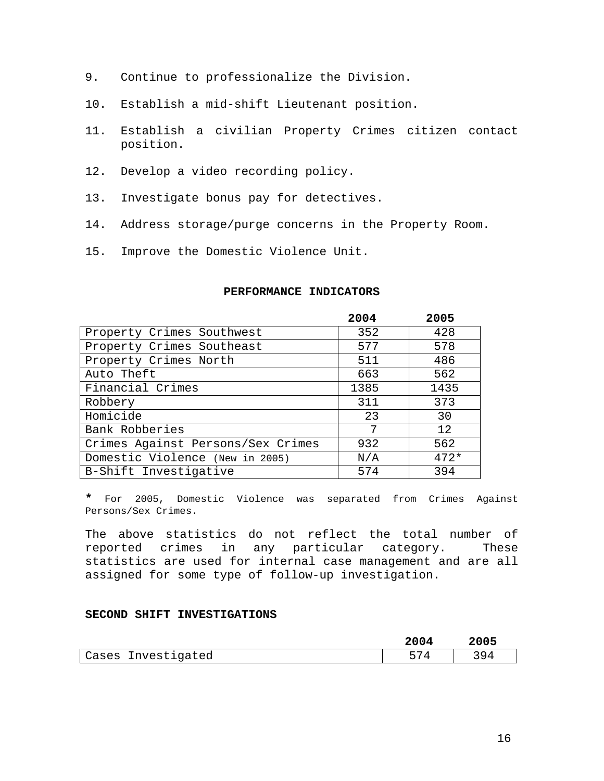- 9. Continue to professionalize the Division.
- 10. Establish a mid-shift Lieutenant position.
- 11. Establish a civilian Property Crimes citizen contact position.
- 12. Develop a video recording policy.
- 13. Investigate bonus pay for detectives.
- 14. Address storage/purge concerns in the Property Room.
- 15. Improve the Domestic Violence Unit.

#### **PERFORMANCE INDICATORS**

|                                   | 2004 | 2005   |
|-----------------------------------|------|--------|
| Property Crimes Southwest         | 352  | 428    |
| Property Crimes Southeast         | 577  | 578    |
| Property Crimes North             | 511  | 486    |
| Auto Theft                        | 663  | 562    |
| Financial Crimes                  | 1385 | 1435   |
| Robbery                           | 311  | 373    |
| Homicide                          | 23   | 30     |
| Bank Robberies                    | 7    | 12     |
| Crimes Against Persons/Sex Crimes | 932  | 562    |
| Domestic Violence (New in 2005)   | N/A  | $472*$ |
| B-Shift Investigative             | 574  | 394    |

**\*** For 2005, Domestic Violence was separated from Crimes Against Persons/Sex Crimes.

The above statistics do not reflect the total number of reported crimes in any particular category. These statistics are used for internal case management and are all assigned for some type of follow-up investigation.

#### **SECOND SHIFT INVESTIGATIONS**

|                    | 2004 | 2005  |
|--------------------|------|-------|
| Cases Investigated | 574  | 3 Q 1 |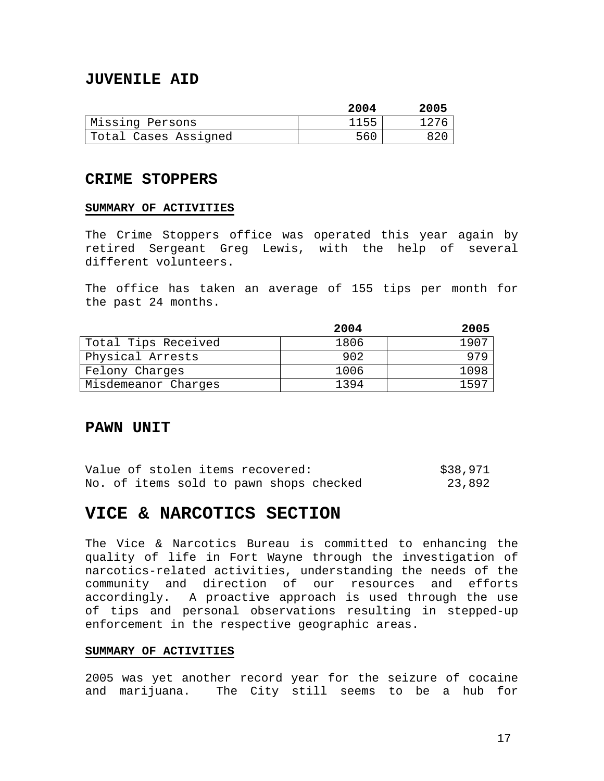## **JUVENILE AID**

|                      | 2004 | 2005 |
|----------------------|------|------|
| Missing Persons      | 1155 | 1276 |
| Total Cases Assigned | 560  | 820  |

#### **CRIME STOPPERS**

#### **SUMMARY OF ACTIVITIES**

The Crime Stoppers office was operated this year again by retired Sergeant Greg Lewis, with the help of several different volunteers.

The office has taken an average of 155 tips per month for the past 24 months.

|                     | 2004 | 2005 |
|---------------------|------|------|
| Total Tips Received | 1806 | 1907 |
| Physical Arrests    | 902  | 979  |
| Felony Charges      | 1006 | 1098 |
| Misdemeanor Charges | 1394 | 1597 |

#### **PAWN UNIT**

|  |  |  | Value of stolen items recovered: |                                         | \$38,971 |
|--|--|--|----------------------------------|-----------------------------------------|----------|
|  |  |  |                                  | No. of items sold to pawn shops checked | 23,892   |

## **VICE & NARCOTICS SECTION**

The Vice & Narcotics Bureau is committed to enhancing the quality of life in Fort Wayne through the investigation of narcotics-related activities, understanding the needs of the community and direction of our resources and efforts accordingly. A proactive approach is used through the use of tips and personal observations resulting in stepped-up enforcement in the respective geographic areas.

#### **SUMMARY OF ACTIVITIES**

2005 was yet another record year for the seizure of cocaine and marijuana. The City still seems to be a hub for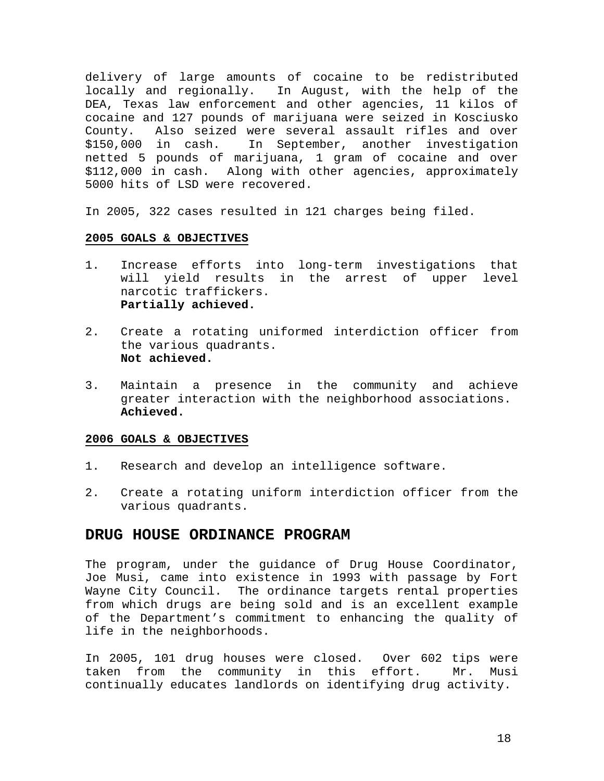delivery of large amounts of cocaine to be redistributed locally and regionally. In August, with the help of the DEA, Texas law enforcement and other agencies, 11 kilos of cocaine and 127 pounds of marijuana were seized in Kosciusko County. Also seized were several assault rifles and over \$150,000 in cash. In September, another investigation netted 5 pounds of marijuana, 1 gram of cocaine and over \$112,000 in cash. Along with other agencies, approximately 5000 hits of LSD were recovered.

In 2005, 322 cases resulted in 121 charges being filed.

#### **2005 GOALS & OBJECTIVES**

- 1. Increase efforts into long-term investigations that will yield results in the arrest of upper level narcotic traffickers. **Partially achieved.**
- 2. Create a rotating uniformed interdiction officer from the various quadrants. **Not achieved.**
- 3. Maintain a presence in the community and achieve greater interaction with the neighborhood associations. **Achieved.**

#### **2006 GOALS & OBJECTIVES**

- 1. Research and develop an intelligence software.
- 2. Create a rotating uniform interdiction officer from the various quadrants.

### **DRUG HOUSE ORDINANCE PROGRAM**

The program, under the guidance of Drug House Coordinator, Joe Musi, came into existence in 1993 with passage by Fort Wayne City Council. The ordinance targets rental properties from which drugs are being sold and is an excellent example of the Department's commitment to enhancing the quality of life in the neighborhoods.

In 2005, 101 drug houses were closed. Over 602 tips were taken from the community in this effort. Mr. Musi continually educates landlords on identifying drug activity.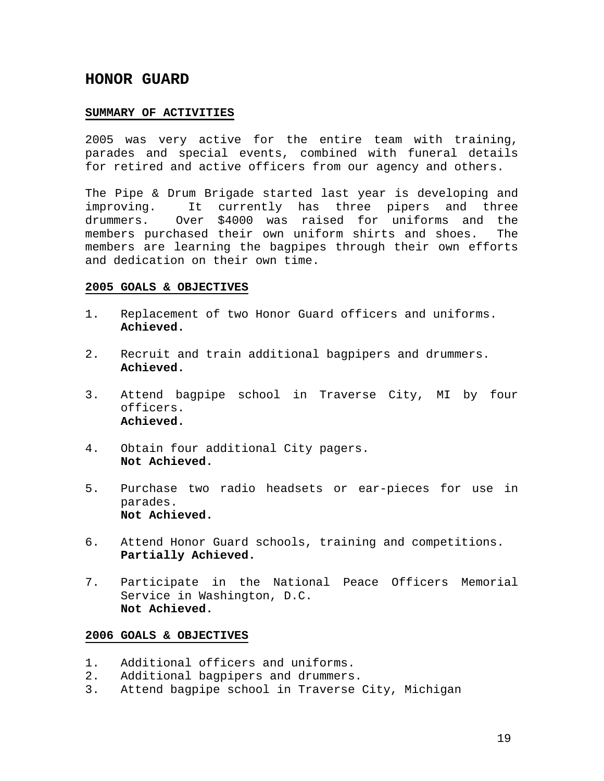## **HONOR GUARD**

#### **SUMMARY OF ACTIVITIES**

2005 was very active for the entire team with training, parades and special events, combined with funeral details for retired and active officers from our agency and others.

The Pipe & Drum Brigade started last year is developing and improving. It currently has three pipers and three drummers. Over \$4000 was raised for uniforms and the members purchased their own uniform shirts and shoes. The members are learning the bagpipes through their own efforts and dedication on their own time.

#### **2005 GOALS & OBJECTIVES**

- 1. Replacement of two Honor Guard officers and uniforms. **Achieved.**
- 2. Recruit and train additional bagpipers and drummers. **Achieved.**
- 3. Attend bagpipe school in Traverse City, MI by four officers. **Achieved.**
- 4. Obtain four additional City pagers. **Not Achieved.**
- 5. Purchase two radio headsets or ear-pieces for use in parades. **Not Achieved.**
- 6. Attend Honor Guard schools, training and competitions. **Partially Achieved.**
- 7. Participate in the National Peace Officers Memorial Service in Washington, D.C.  **Not Achieved.**

- 1. Additional officers and uniforms.
- 2. Additional bagpipers and drummers.
- 3. Attend bagpipe school in Traverse City, Michigan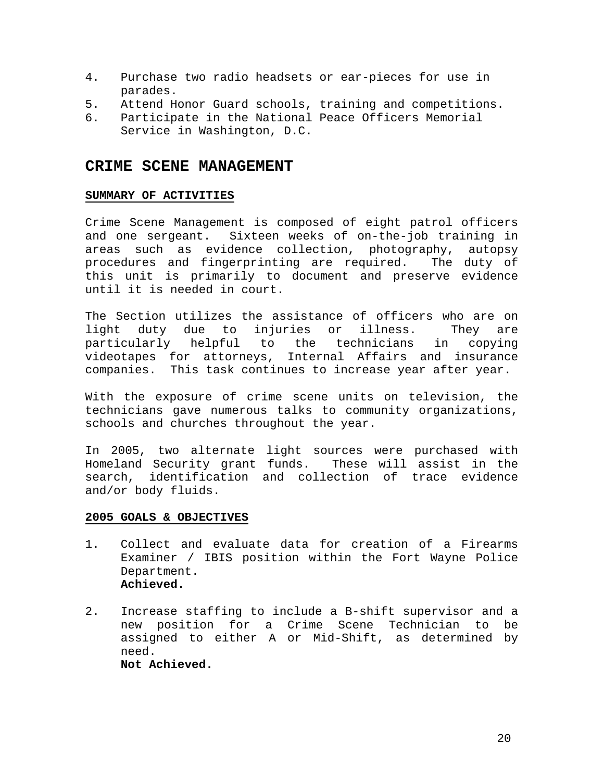- 4. Purchase two radio headsets or ear-pieces for use in parades.
- 5. Attend Honor Guard schools, training and competitions.
- 6. Participate in the National Peace Officers Memorial Service in Washington, D.C.

## **CRIME SCENE MANAGEMENT**

#### **SUMMARY OF ACTIVITIES**

Crime Scene Management is composed of eight patrol officers and one sergeant. Sixteen weeks of on-the-job training in areas such as evidence collection, photography, autopsy procedures and fingerprinting are required. The duty of this unit is primarily to document and preserve evidence until it is needed in court.

The Section utilizes the assistance of officers who are on light duty due to injuries or illness. They are particularly helpful to the technicians in copying videotapes for attorneys, Internal Affairs and insurance companies. This task continues to increase year after year.

With the exposure of crime scene units on television, the technicians gave numerous talks to community organizations, schools and churches throughout the year.

In 2005, two alternate light sources were purchased with Homeland Security grant funds. These will assist in the search, identification and collection of trace evidence and/or body fluids.

- 1. Collect and evaluate data for creation of a Firearms Examiner / IBIS position within the Fort Wayne Police Department. **Achieved.**
- 2. Increase staffing to include a B-shift supervisor and a new position for a Crime Scene Technician to be assigned to either A or Mid-Shift, as determined by need. **Not Achieved.**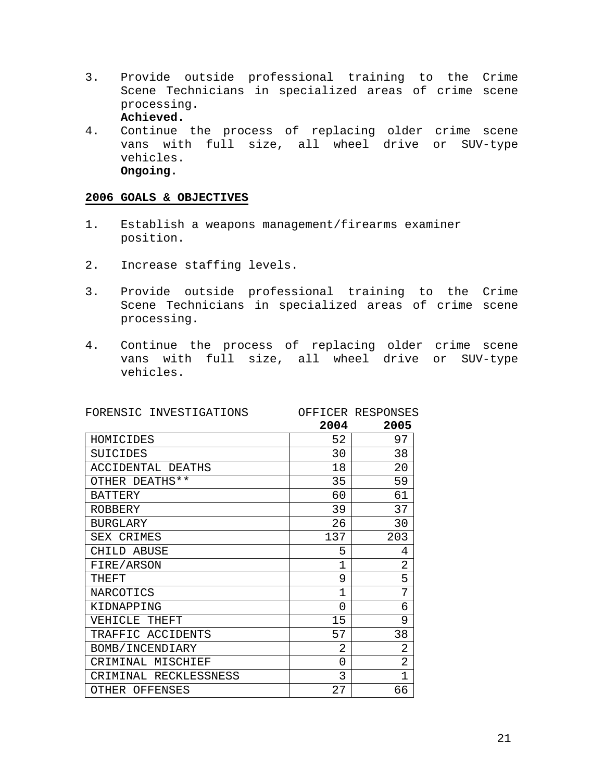3. Provide outside professional training to the Crime Scene Technicians in specialized areas of crime scene processing.

**Achieved.** 

4. Continue the process of replacing older crime scene vans with full size, all wheel drive or SUV-type vehicles. **Ongoing.** 

- 1. Establish a weapons management/firearms examiner position.
- 2. Increase staffing levels.
- 3. Provide outside professional training to the Crime Scene Technicians in specialized areas of crime scene processing.
- 4. Continue the process of replacing older crime scene vans with full size, all wheel drive or SUV-type vehicles.

| FORENSIC INVESTIGATIONS |              | OFFICER RESPONSES |
|-------------------------|--------------|-------------------|
|                         | 2004         | 2005              |
| HOMICIDES               | 52           | 97                |
| SUICIDES                | 30           | 38                |
| ACCIDENTAL DEATHS       | 18           | 20                |
| OTHER DEATHS**          | 35           | 59                |
| <b>BATTERY</b>          | 60           | 61                |
| <b>ROBBERY</b>          | 39           | 37                |
| <b>BURGLARY</b>         | 26           | 30                |
| SEX CRIMES              | 137          | 203               |
| CHILD ABUSE             | 5            | 4                 |
| FIRE/ARSON              | $\mathbf{1}$ | 2                 |
| THEFT                   | 9            | 5                 |
| NARCOTICS               | $\mathbf 1$  | 7                 |
| KIDNAPPING              | $\Omega$     | 6                 |
| VEHICLE THEFT           | 15           | 9                 |
| TRAFFIC ACCIDENTS       | 57           | 38                |
| BOMB/INCENDIARY         | 2            | 2                 |
| CRIMINAL MISCHIEF       | 0            | 2                 |
| CRIMINAL RECKLESSNESS   | 3            | 1                 |
| OTHER OFFENSES          | 27           | 66                |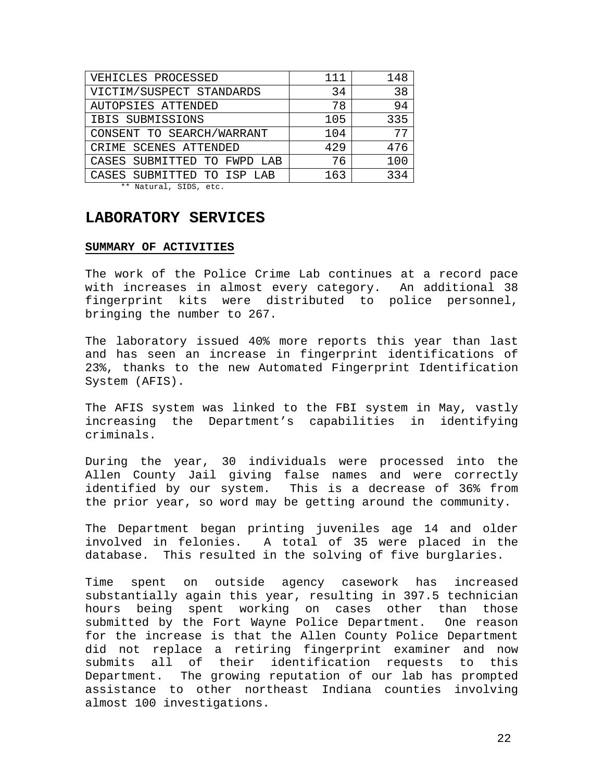| VEHICLES PROCESSED                                                                                    | 111 | 148 |
|-------------------------------------------------------------------------------------------------------|-----|-----|
| VICTIM/SUSPECT STANDARDS                                                                              | 34  | 38  |
| AUTOPSIES ATTENDED                                                                                    | 78  | 94  |
| IBIS SUBMISSIONS                                                                                      | 105 | 335 |
| CONSENT TO SEARCH/WARRANT                                                                             | 104 | 77  |
| CRIME SCENES ATTENDED                                                                                 | 429 | 476 |
| CASES SUBMITTED TO FWPD LAB                                                                           | 76  | 100 |
| CASES SUBMITTED TO ISP LAB                                                                            | 163 | 334 |
| $\mathbf{A} \cdot \mathbf{A}$ , and $\mathbf{A} \cdot \mathbf{A}$ , and $\mathbf{A} \cdot \mathbf{A}$ |     |     |

\*\* Natural, SIDS, etc.

## **LABORATORY SERVICES**

#### **SUMMARY OF ACTIVITIES**

The work of the Police Crime Lab continues at a record pace with increases in almost every category. An additional 38 fingerprint kits were distributed to police personnel, bringing the number to 267.

The laboratory issued 40% more reports this year than last and has seen an increase in fingerprint identifications of 23%, thanks to the new Automated Fingerprint Identification System (AFIS).

The AFIS system was linked to the FBI system in May, vastly increasing the Department's capabilities in identifying criminals.

During the year, 30 individuals were processed into the Allen County Jail giving false names and were correctly identified by our system. This is a decrease of 36% from the prior year, so word may be getting around the community.

The Department began printing juveniles age 14 and older involved in felonies. A total of 35 were placed in the database. This resulted in the solving of five burglaries.

Time spent on outside agency casework has increased substantially again this year, resulting in 397.5 technician hours being spent working on cases other than those submitted by the Fort Wayne Police Department. One reason for the increase is that the Allen County Police Department did not replace a retiring fingerprint examiner and now submits all of their identification requests to this Department. The growing reputation of our lab has prompted assistance to other northeast Indiana counties involving almost 100 investigations.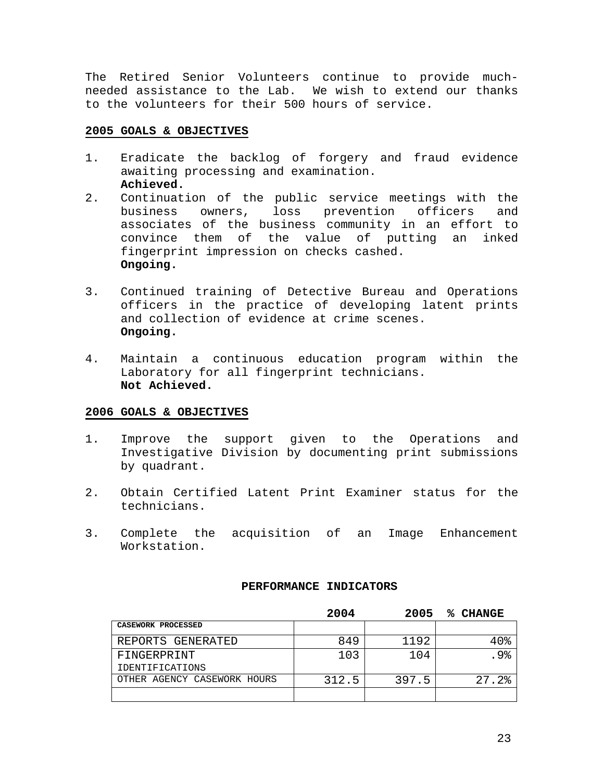The Retired Senior Volunteers continue to provide muchneeded assistance to the Lab. We wish to extend our thanks to the volunteers for their 500 hours of service.

#### **2005 GOALS & OBJECTIVES**

- 1. Eradicate the backlog of forgery and fraud evidence awaiting processing and examination. **Achieved.**
- 2. Continuation of the public service meetings with the business owners, loss prevention officers and associates of the business community in an effort to convince them of the value of putting an inked fingerprint impression on checks cashed. **Ongoing.**
- 3. Continued training of Detective Bureau and Operations officers in the practice of developing latent prints and collection of evidence at crime scenes. **Ongoing.**
- 4. Maintain a continuous education program within the Laboratory for all fingerprint technicians. **Not Achieved.**

#### **2006 GOALS & OBJECTIVES**

- 1. Improve the support given to the Operations and Investigative Division by documenting print submissions by quadrant.
- 2. Obtain Certified Latent Print Examiner status for the technicians.
- 3. Complete the acquisition of an Image Enhancement Workstation.

#### **PERFORMANCE INDICATORS**

|                             | 2004  | 2005  | % CHANGE |
|-----------------------------|-------|-------|----------|
| CASEWORK PROCESSED          |       |       |          |
| REPORTS GENERATED           | 849   | 1192  | 40%      |
| FINGERPRINT                 | 103   | 104   | .9%      |
| <b>IDENTIFICATIONS</b>      |       |       |          |
| OTHER AGENCY CASEWORK HOURS | 312.5 | 397.5 | 27.2%    |
|                             |       |       |          |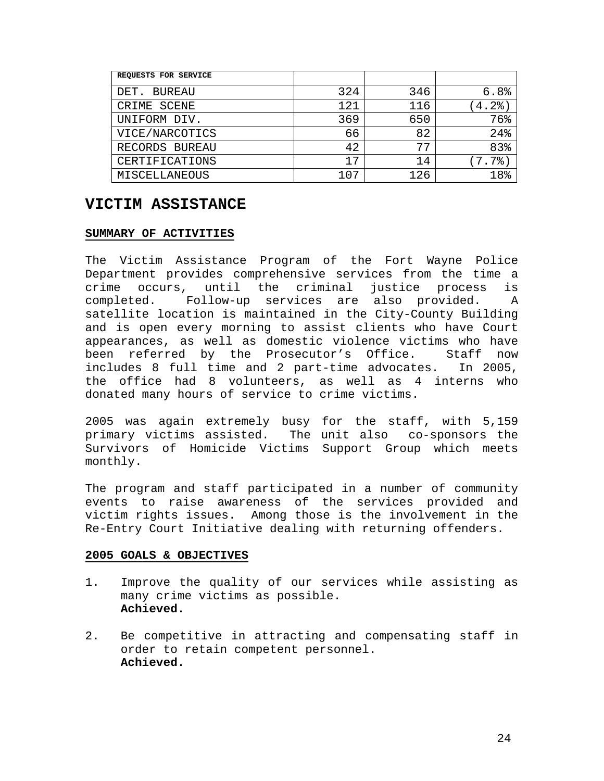| REQUESTS FOR SERVICE |     |     |      |
|----------------------|-----|-----|------|
| DET. BUREAU          | 324 | 346 | 6.8% |
| CRIME SCENE          | 121 | 116 | 4.2% |
| UNIFORM DIV.         | 369 | 650 | 76%  |
| VICE/NARCOTICS       | 66  | 82  | 24%  |
| RECORDS BUREAU       | 42  | 77  | 83%  |
| CERTIFICATIONS       | 17  | 14  | 7.7% |
| MISCELLANEOUS        | 107 | 126 | 18%  |

## **VICTIM ASSISTANCE**

#### **SUMMARY OF ACTIVITIES**

The Victim Assistance Program of the Fort Wayne Police Department provides comprehensive services from the time a crime occurs, until the criminal justice process is completed. Follow-up services are also provided. A satellite location is maintained in the City-County Building and is open every morning to assist clients who have Court appearances, as well as domestic violence victims who have been referred by the Prosecutor's Office. Staff now includes 8 full time and 2 part-time advocates. In 2005, the office had 8 volunteers, as well as 4 interns who donated many hours of service to crime victims.

2005 was again extremely busy for the staff, with 5,159 primary victims assisted. The unit also co-sponsors the Survivors of Homicide Victims Support Group which meets monthly.

The program and staff participated in a number of community events to raise awareness of the services provided and victim rights issues. Among those is the involvement in the Re-Entry Court Initiative dealing with returning offenders.

- 1. Improve the quality of our services while assisting as many crime victims as possible. **Achieved.**
- 2. Be competitive in attracting and compensating staff in order to retain competent personnel. **Achieved.**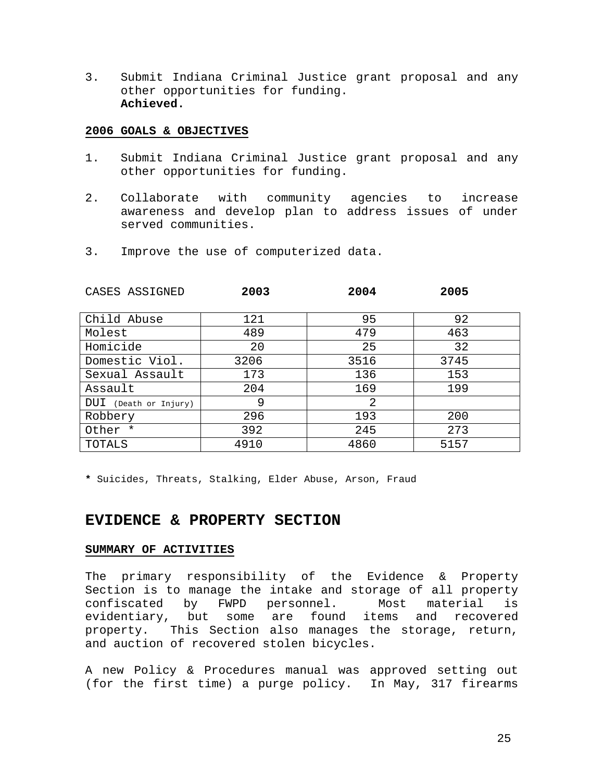3. Submit Indiana Criminal Justice grant proposal and any other opportunities for funding. **Achieved.**

#### **2006 GOALS & OBJECTIVES**

- 1. Submit Indiana Criminal Justice grant proposal and any other opportunities for funding.
- 2. Collaborate with community agencies to increase awareness and develop plan to address issues of under served communities.
- 3. Improve the use of computerized data.

| CASES ASSIGNED        | 2003 | 2004 | 2005 |
|-----------------------|------|------|------|
| Child Abuse           | 121  | 95   | 92   |
| Molest                | 489  | 479  | 463  |
| Homicide              | 20   | 25   | 32   |
| Domestic Viol.        | 3206 | 3516 | 3745 |
| Sexual Assault        | 173  | 136  | 153  |
| Assault               | 204  | 169  | 199  |
| DUI (Death or Injury) | 9    | 2    |      |
| Robbery               | 296  | 193  | 200  |
| Other *               | 392  | 245  | 273  |
| TOTALS                | 4910 | 4860 | 5157 |

**\*** Suicides, Threats, Stalking, Elder Abuse, Arson, Fraud

## **EVIDENCE & PROPERTY SECTION**

#### **SUMMARY OF ACTIVITIES**

The primary responsibility of the Evidence & Property Section is to manage the intake and storage of all property confiscated by FWPD personnel. Most material is evidentiary, but some are found items and recovered property. This Section also manages the storage, return, and auction of recovered stolen bicycles.

A new Policy & Procedures manual was approved setting out (for the first time) a purge policy. In May, 317 firearms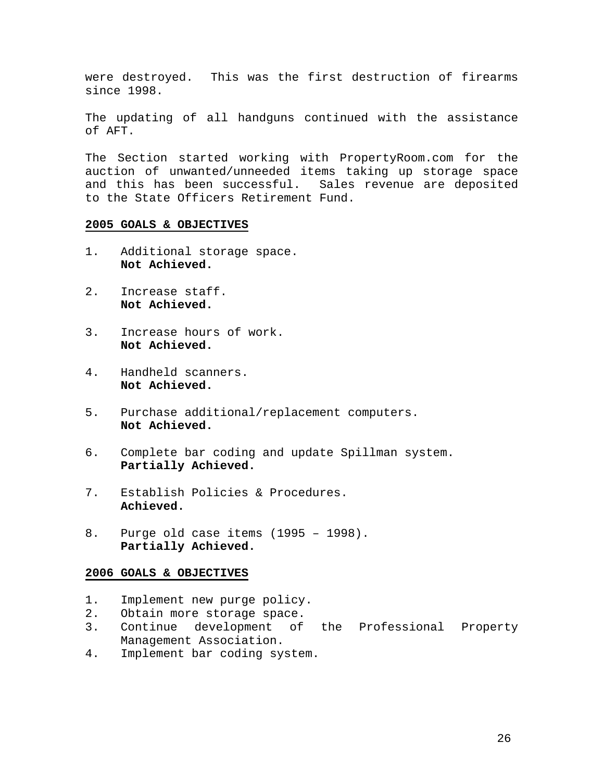were destroyed. This was the first destruction of firearms since 1998.

The updating of all handguns continued with the assistance of AFT.

The Section started working with PropertyRoom.com for the auction of unwanted/unneeded items taking up storage space and this has been successful. Sales revenue are deposited to the State Officers Retirement Fund.

#### **2005 GOALS & OBJECTIVES**

- 1. Additional storage space. **Not Achieved.**
- 2. Increase staff. **Not Achieved.**
- 3. Increase hours of work. **Not Achieved.**
- 4. Handheld scanners. **Not Achieved.**
- 5. Purchase additional/replacement computers. **Not Achieved.**
- 6. Complete bar coding and update Spillman system. **Partially Achieved.**
- 7. Establish Policies & Procedures. **Achieved.**
- 8. Purge old case items (1995 1998). **Partially Achieved.**

- 1. Implement new purge policy.
- 2. Obtain more storage space.
- 3. Continue development of the Professional Property Management Association.
- 4. Implement bar coding system.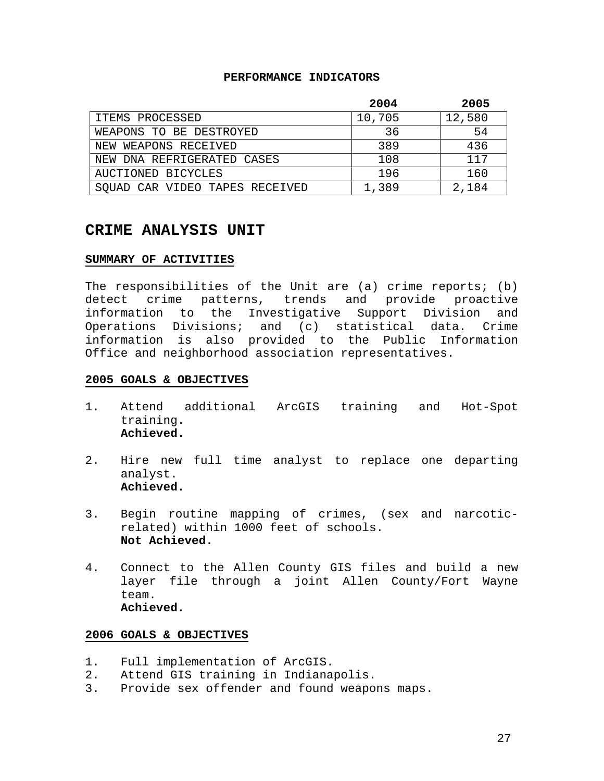#### **PERFORMANCE INDICATORS**

|                                   | 2004   | 2005   |
|-----------------------------------|--------|--------|
| ITEMS PROCESSED                   | 10,705 | 12,580 |
| WEAPONS TO BE DESTROYED           | 36     | 54     |
| NEW WEAPONS RECEIVED              | 389    | 436    |
| NEW DNA REFRIGERATED CASES        | 108    | 117    |
| AUCTIONED BICYCLES                | 196    | 160    |
| CAR VIDEO TAPES RECEIVED<br>SOUAD | 1,389  | 2,184  |

## **CRIME ANALYSIS UNIT**

#### **SUMMARY OF ACTIVITIES**

The responsibilities of the Unit are (a) crime reports; (b) detect crime patterns, trends and provide proactive information to the Investigative Support Division and Operations Divisions; and (c) statistical data. Crime information is also provided to the Public Information Office and neighborhood association representatives.

#### **2005 GOALS & OBJECTIVES**

- 1. Attend additional ArcGIS training and Hot-Spot training. **Achieved.**
- 2. Hire new full time analyst to replace one departing analyst. **Achieved.**
- 3. Begin routine mapping of crimes, (sex and narcoticrelated) within 1000 feet of schools. **Not Achieved.**
- 4. Connect to the Allen County GIS files and build a new layer file through a joint Allen County/Fort Wayne team. **Achieved.**

- 1. Full implementation of ArcGIS.
- 2. Attend GIS training in Indianapolis.
- 3. Provide sex offender and found weapons maps.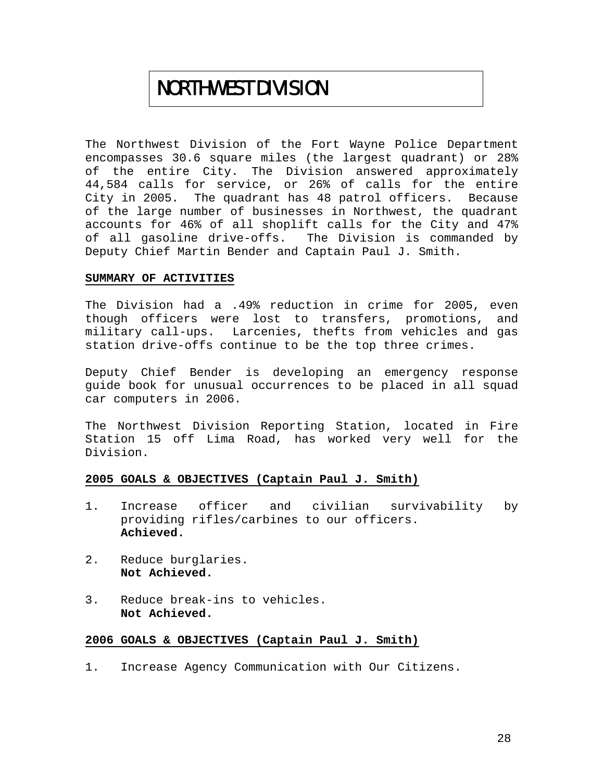# NORTHWEST DIVISION

The Northwest Division of the Fort Wayne Police Department encompasses 30.6 square miles (the largest quadrant) or 28% of the entire City. The Division answered approximately 44,584 calls for service, or 26% of calls for the entire City in 2005. The quadrant has 48 patrol officers. Because of the large number of businesses in Northwest, the quadrant accounts for 46% of all shoplift calls for the City and 47% of all gasoline drive-offs. The Division is commanded by Deputy Chief Martin Bender and Captain Paul J. Smith.

#### **SUMMARY OF ACTIVITIES**

The Division had a .49% reduction in crime for 2005, even though officers were lost to transfers, promotions, and military call-ups. Larcenies, thefts from vehicles and gas station drive-offs continue to be the top three crimes.

Deputy Chief Bender is developing an emergency response guide book for unusual occurrences to be placed in all squad car computers in 2006.

The Northwest Division Reporting Station, located in Fire Station 15 off Lima Road, has worked very well for the Division.

#### **2005 GOALS & OBJECTIVES (Captain Paul J. Smith)**

- 1. Increase officer and civilian survivability by providing rifles/carbines to our officers. **Achieved.**
- 2. Reduce burglaries. **Not Achieved.**
- 3. Reduce break-ins to vehicles. **Not Achieved.**

#### **2006 GOALS & OBJECTIVES (Captain Paul J. Smith)**

1. Increase Agency Communication with Our Citizens.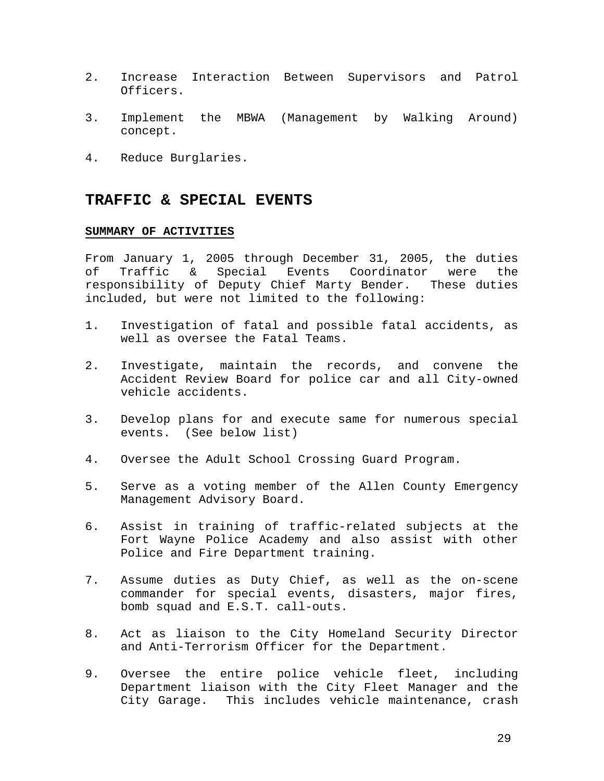- 2. Increase Interaction Between Supervisors and Patrol Officers.
- 3. Implement the MBWA (Management by Walking Around) concept.
- 4. Reduce Burglaries.

### **TRAFFIC & SPECIAL EVENTS**

#### **SUMMARY OF ACTIVITIES**

From January 1, 2005 through December 31, 2005, the duties of Traffic & Special Events Coordinator were the responsibility of Deputy Chief Marty Bender. These duties included, but were not limited to the following:

- 1. Investigation of fatal and possible fatal accidents, as well as oversee the Fatal Teams.
- 2. Investigate, maintain the records, and convene the Accident Review Board for police car and all City-owned vehicle accidents.
- 3. Develop plans for and execute same for numerous special events. (See below list)
- 4. Oversee the Adult School Crossing Guard Program.
- 5. Serve as a voting member of the Allen County Emergency Management Advisory Board.
- 6. Assist in training of traffic-related subjects at the Fort Wayne Police Academy and also assist with other Police and Fire Department training.
- 7. Assume duties as Duty Chief, as well as the on-scene commander for special events, disasters, major fires, bomb squad and E.S.T. call-outs.
- 8. Act as liaison to the City Homeland Security Director and Anti-Terrorism Officer for the Department.
- 9. Oversee the entire police vehicle fleet, including Department liaison with the City Fleet Manager and the City Garage. This includes vehicle maintenance, crash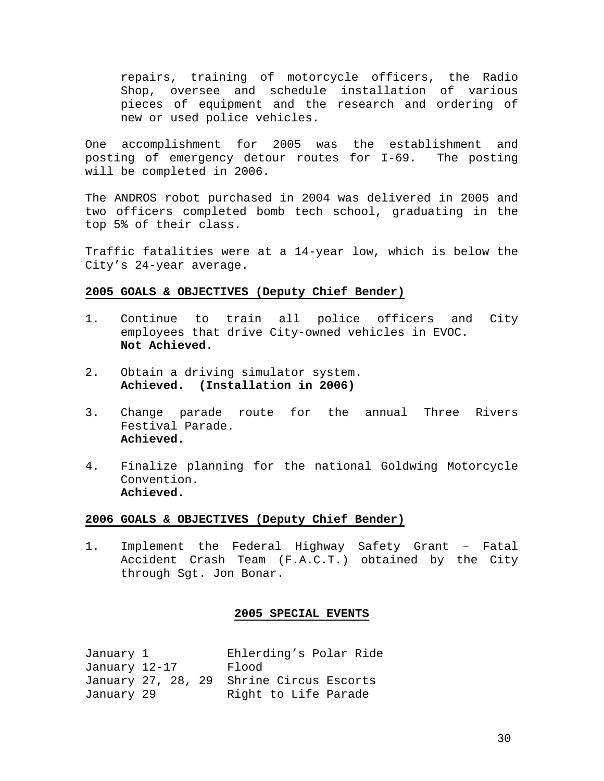repairs, training of motorcycle officers, the Radio Shop, oversee and schedule installation of various pieces of equipment and the research and ordering of new or used police vehicles.

One accomplishment for 2005 was the establishment and posting of emergency detour routes for I-69. The posting will be completed in 2006.

The ANDROS robot purchased in 2004 was delivered in 2005 and two officers completed bomb tech school, graduating in the top 5% of their class.

Traffic fatalities were at a 14-year low, which is below the City's 24-year average.

#### **2005 GOALS & OBJECTIVES (Deputy Chief Bender)**

- 1. Continue to train all police officers and City employees that drive City-owned vehicles in EVOC. **Not Achieved.**
- 2. Obtain a driving simulator system. **Achieved. (Installation in 2006)**
- 3. Change parade route for the annual Three Rivers Festival Parade. **Achieved.**
- 4. Finalize planning for the national Goldwing Motorcycle Convention. **Achieved.**

#### **2006 GOALS & OBJECTIVES (Deputy Chief Bender)**

1. Implement the Federal Highway Safety Grant – Fatal Accident Crash Team (F.A.C.T.) obtained by the City through Sgt. Jon Bonar.

#### **2005 SPECIAL EVENTS**

| January 1     | Ehlerding's Polar Ride                   |
|---------------|------------------------------------------|
| January 12-17 | Flood                                    |
|               | January 27, 28, 29 Shrine Circus Escorts |
| January 29    | Right to Life Parade                     |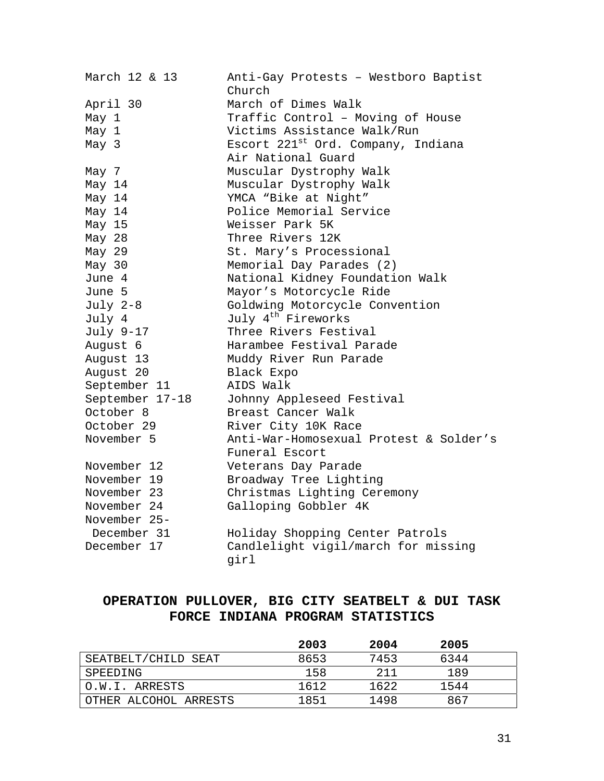| March 12 & 13   | Anti-Gay Protests - Westboro Baptist<br>Church |
|-----------------|------------------------------------------------|
| April 30        | March of Dimes Walk                            |
| May 1           | Traffic Control - Moving of House              |
| May 1           | Victims Assistance Walk/Run                    |
| May 3           | Escort 221 <sup>st</sup> Ord. Company, Indiana |
|                 | Air National Guard                             |
| May 7           | Muscular Dystrophy Walk                        |
| May 14          | Muscular Dystrophy Walk                        |
| May 14          | YMCA "Bike at Night"                           |
| May 14          | Police Memorial Service                        |
| May 15          | Weisser Park 5K                                |
| May 28          | Three Rivers 12K                               |
| May 29          | St. Mary's Processional                        |
| May 30          | Memorial Day Parades (2)                       |
| June 4          | National Kidney Foundation Walk                |
| June 5          | Mayor's Motorcycle Ride                        |
| July 2-8        | Goldwing Motorcycle Convention                 |
| July 4          | July 4 <sup>th</sup> Fireworks                 |
| July 9-17       | Three Rivers Festival                          |
| August 6        | Harambee Festival Parade                       |
| August 13       | Muddy River Run Parade                         |
| August 20       | Black Expo                                     |
| September 11    | AIDS Walk                                      |
| September 17-18 | Johnny Appleseed Festival                      |
| October 8       | Breast Cancer Walk                             |
| October 29      | River City 10K Race                            |
| November 5      | Anti-War-Homosexual Protest & Solder's         |
|                 | Funeral Escort                                 |
| November 12     | Veterans Day Parade                            |
| November 19     | Broadway Tree Lighting                         |
| November 23     | Christmas Lighting Ceremony                    |
| November 24     | Galloping Gobbler 4K                           |
| November 25-    |                                                |
| December 31     | Holiday Shopping Center Patrols                |
| December 17     | Candlelight vigil/march for missing<br>girl    |

## **OPERATION PULLOVER, BIG CITY SEATBELT & DUI TASK FORCE INDIANA PROGRAM STATISTICS**

|                       | 2003 | 2004 | 2005 |  |
|-----------------------|------|------|------|--|
| SEATBELT/CHILD SEAT   | 8653 | 7453 | 6344 |  |
| SPEEDING              | 158  | 211  | 189  |  |
| O.W.I. ARRESTS        | 1612 | 1622 | 1544 |  |
| OTHER ALCOHOL ARRESTS | 1851 | 1498 | 867  |  |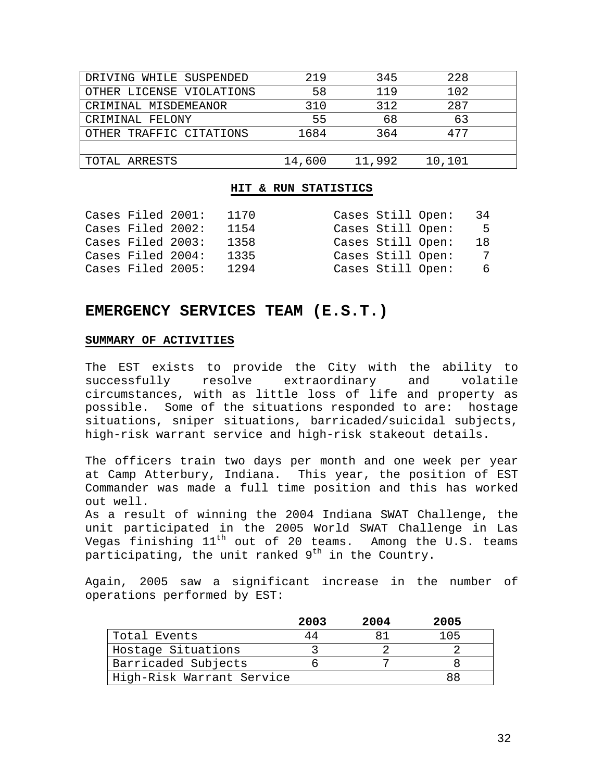| DRIVING WHILE SUSPENDED  | 219    | 345    | 228    |  |
|--------------------------|--------|--------|--------|--|
| OTHER LICENSE VIOLATIONS | 58     | 119    | 102    |  |
| CRIMINAL MISDEMEANOR     | 310    | 312    | 287    |  |
| CRIMINAL FELONY          | 55     | 68     | 63     |  |
| OTHER TRAFFIC CITATIONS  | 1684   | 364    | 477    |  |
|                          |        |        |        |  |
| TOTAL ARRESTS            | 14,600 | 11,992 | 10,101 |  |

#### **HIT & RUN STATISTICS**

| Cases Filed 2001: | 1170 | Cases Still Open: | -34 |
|-------------------|------|-------------------|-----|
| Cases Filed 2002: | 1154 | Cases Still Open: | -5  |
| Cases Filed 2003: | 1358 | Cases Still Open: | 18  |
| Cases Filed 2004: | 1335 | Cases Still Open: | 7   |
| Cases Filed 2005: | 1294 | Cases Still Open: | რ — |

## **EMERGENCY SERVICES TEAM (E.S.T.)**

#### **SUMMARY OF ACTIVITIES**

The EST exists to provide the City with the ability to successfully resolve extraordinary and volatile circumstances, with as little loss of life and property as possible. Some of the situations responded to are: hostage situations, sniper situations, barricaded/suicidal subjects, high-risk warrant service and high-risk stakeout details.

The officers train two days per month and one week per year at Camp Atterbury, Indiana. This year, the position of EST Commander was made a full time position and this has worked out well.

As a result of winning the 2004 Indiana SWAT Challenge, the unit participated in the 2005 World SWAT Challenge in Las Vegas finishing  $11^{th}$  out of 20 teams. Among the U.S. teams participating, the unit ranked  $9<sup>th</sup>$  in the Country.

Again, 2005 saw a significant increase in the number of operations performed by EST:

|                           | 2003 | 2004 | 2005 |
|---------------------------|------|------|------|
| Total Events              | 44   |      | 105  |
| Hostage Situations        |      |      |      |
| Barricaded Subjects       |      |      |      |
| High-Risk Warrant Service |      |      |      |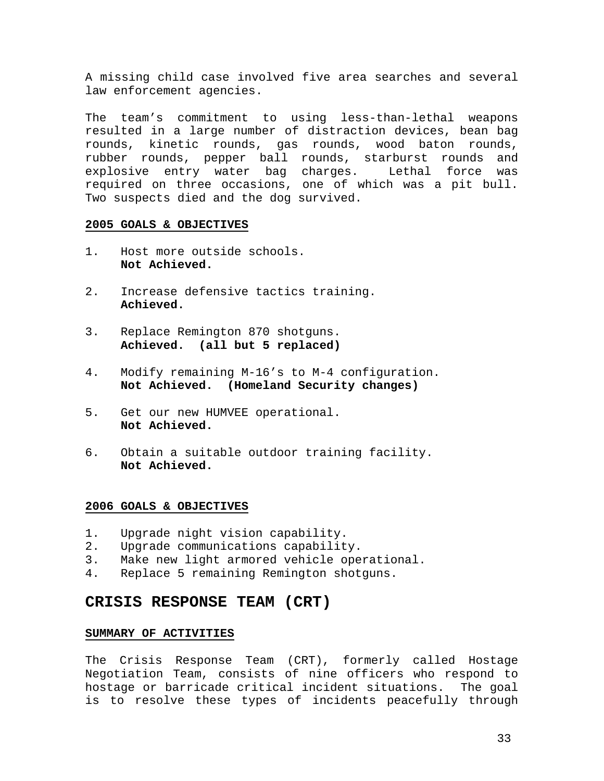A missing child case involved five area searches and several law enforcement agencies.

The team's commitment to using less-than-lethal weapons resulted in a large number of distraction devices, bean bag rounds, kinetic rounds, gas rounds, wood baton rounds, rubber rounds, pepper ball rounds, starburst rounds and explosive entry water bag charges. Lethal force was required on three occasions, one of which was a pit bull. Two suspects died and the dog survived.

#### **2005 GOALS & OBJECTIVES**

- 1. Host more outside schools. **Not Achieved.**
- 2. Increase defensive tactics training. **Achieved.**
- 3. Replace Remington 870 shotguns. **Achieved. (all but 5 replaced)**
- 4. Modify remaining M-16's to M-4 configuration. **Not Achieved. (Homeland Security changes)**
- 5. Get our new HUMVEE operational. **Not Achieved.**
- 6. Obtain a suitable outdoor training facility. **Not Achieved.**

#### **2006 GOALS & OBJECTIVES**

- 1. Upgrade night vision capability.
- 2. Upgrade communications capability.
- 3. Make new light armored vehicle operational.
- 4. Replace 5 remaining Remington shotguns.

#### **CRISIS RESPONSE TEAM (CRT)**

#### **SUMMARY OF ACTIVITIES**

The Crisis Response Team (CRT), formerly called Hostage Negotiation Team, consists of nine officers who respond to hostage or barricade critical incident situations. The goal is to resolve these types of incidents peacefully through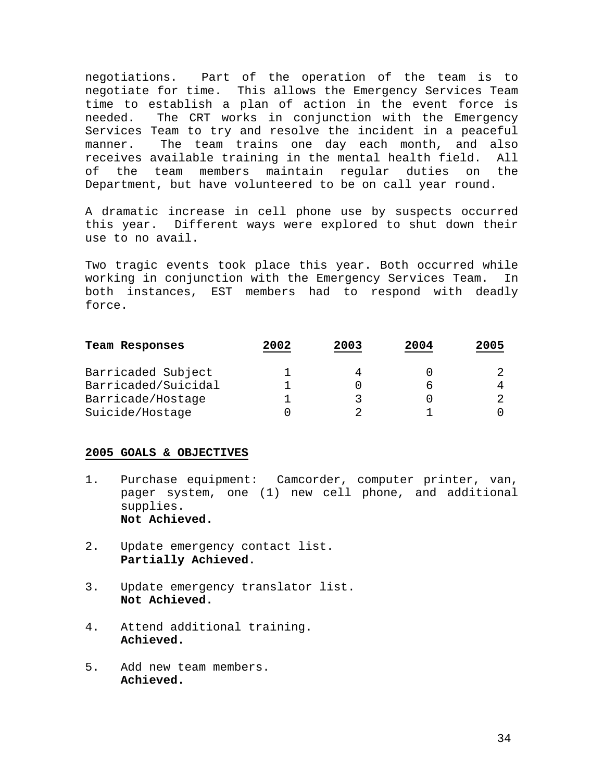negotiations. Part of the operation of the team is to negotiate for time. This allows the Emergency Services Team time to establish a plan of action in the event force is needed. The CRT works in conjunction with the Emergency Services Team to try and resolve the incident in a peaceful manner. The team trains one day each month, and also receives available training in the mental health field. All of the team members maintain regular duties on the Department, but have volunteered to be on call year round.

A dramatic increase in cell phone use by suspects occurred this year. Different ways were explored to shut down their use to no avail.

Two tragic events took place this year. Both occurred while working in conjunction with the Emergency Services Team. In both instances, EST members had to respond with deadly force.

| Team Responses      | 2002 | 2003 | 2004 | 2005 |
|---------------------|------|------|------|------|
| Barricaded Subject  |      |      |      |      |
| Barricaded/Suicidal |      |      |      |      |
| Barricade/Hostage   |      | ર    |      |      |
| Suicide/Hostage     |      |      |      |      |

- 1. Purchase equipment: Camcorder, computer printer, van, pager system, one (1) new cell phone, and additional supplies. **Not Achieved.**
- 2. Update emergency contact list. **Partially Achieved.**
- 3. Update emergency translator list. **Not Achieved.**
- 4. Attend additional training. **Achieved.**
- 5. Add new team members. **Achieved.**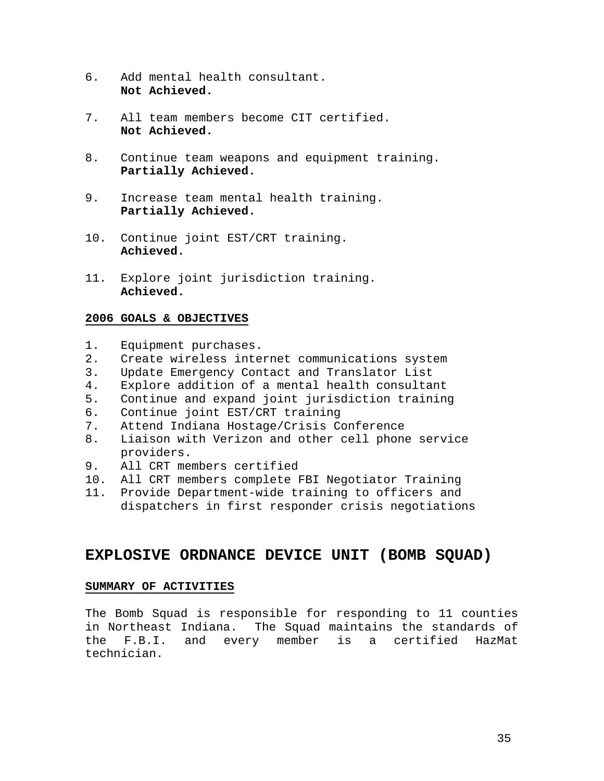- 6. Add mental health consultant. **Not Achieved.**
- 7. All team members become CIT certified. **Not Achieved.**
- 8. Continue team weapons and equipment training. **Partially Achieved.**
- 9. Increase team mental health training. **Partially Achieved.**
- 10. Continue joint EST/CRT training. **Achieved.**
- 11. Explore joint jurisdiction training. **Achieved.**

- 1. Equipment purchases.
- 2. Create wireless internet communications system
- 3. Update Emergency Contact and Translator List
- 4. Explore addition of a mental health consultant
- 5. Continue and expand joint jurisdiction training
- 6. Continue joint EST/CRT training
- 7. Attend Indiana Hostage/Crisis Conference
- 8. Liaison with Verizon and other cell phone service providers.
- 9. All CRT members certified
- 10. All CRT members complete FBI Negotiator Training
- 11. Provide Department-wide training to officers and dispatchers in first responder crisis negotiations

## **EXPLOSIVE ORDNANCE DEVICE UNIT (BOMB SQUAD)**

#### **SUMMARY OF ACTIVITIES**

The Bomb Squad is responsible for responding to 11 counties in Northeast Indiana. The Squad maintains the standards of the F.B.I. and every member is a certified HazMat technician.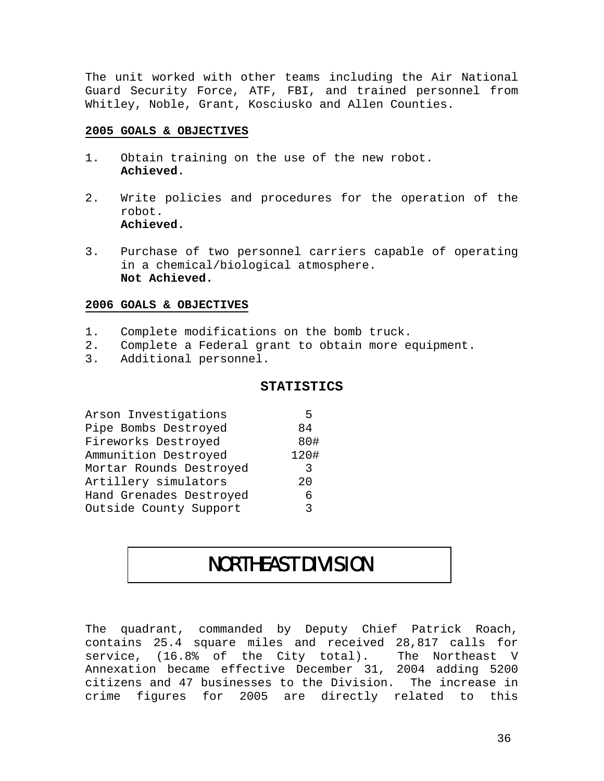The unit worked with other teams including the Air National Guard Security Force, ATF, FBI, and trained personnel from Whitley, Noble, Grant, Kosciusko and Allen Counties.

#### **2005 GOALS & OBJECTIVES**

- 1. Obtain training on the use of the new robot. **Achieved.**
- 2. Write policies and procedures for the operation of the robot. **Achieved.**
- 3. Purchase of two personnel carriers capable of operating in a chemical/biological atmosphere. **Not Achieved.**

#### **2006 GOALS & OBJECTIVES**

- 1. Complete modifications on the bomb truck.
- 2. Complete a Federal grant to obtain more equipment.
- 3. Additional personnel.

#### **STATISTICS**

| Arson Investigations    | 5    |
|-------------------------|------|
| Pipe Bombs Destroyed    | 84   |
| Fireworks Destroyed     | 80#  |
| Ammunition Destroyed    | 120# |
| Mortar Rounds Destroyed | -3   |
| Artillery simulators    | 20   |
| Hand Grenades Destroyed | 6    |
| Outside County Support  | २    |

## NORTHEAST DIVISION

The quadrant, commanded by Deputy Chief Patrick Roach, contains 25.4 square miles and received 28,817 calls for service, (16.8% of the City total). The Northeast V Annexation became effective December 31, 2004 adding 5200 citizens and 47 businesses to the Division. The increase in crime figures for 2005 are directly related to this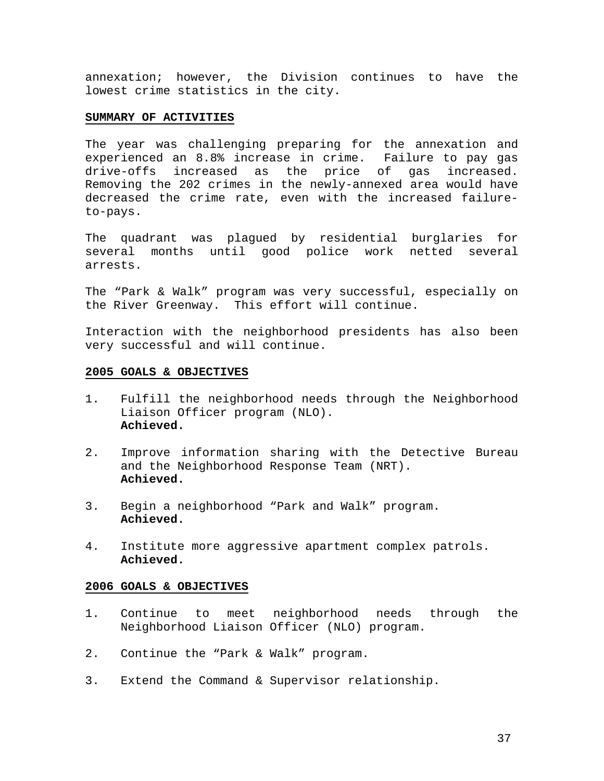annexation; however, the Division continues to have the lowest crime statistics in the city.

#### **SUMMARY OF ACTIVITIES**

The year was challenging preparing for the annexation and experienced an 8.8% increase in crime. Failure to pay gas drive-offs increased as the price of gas increased. Removing the 202 crimes in the newly-annexed area would have decreased the crime rate, even with the increased failureto-pays.

The quadrant was plagued by residential burglaries for several months until good police work netted several arrests.

The "Park & Walk" program was very successful, especially on the River Greenway. This effort will continue.

Interaction with the neighborhood presidents has also been very successful and will continue.

#### **2005 GOALS & OBJECTIVES**

- 1. Fulfill the neighborhood needs through the Neighborhood Liaison Officer program (NLO). **Achieved.**
- 2. Improve information sharing with the Detective Bureau and the Neighborhood Response Team (NRT). **Achieved.**
- 3. Begin a neighborhood "Park and Walk" program. **Achieved.**
- 4. Institute more aggressive apartment complex patrols. **Achieved.**

- 1. Continue to meet neighborhood needs through the Neighborhood Liaison Officer (NLO) program.
- 2. Continue the "Park & Walk" program.
- 3. Extend the Command & Supervisor relationship.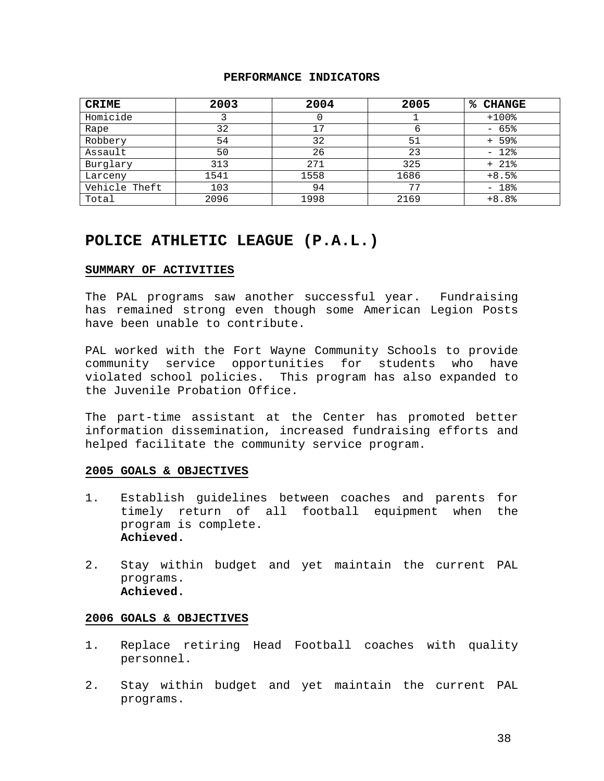#### **PERFORMANCE INDICATORS**

| <b>CRIME</b>  | 2003 | 2004 | 2005 | %ะ<br><b>CHANGE</b> |
|---------------|------|------|------|---------------------|
| Homicide      |      |      |      | $+100$ %            |
| Rape          | 32   | 17   | 6    | $-65%$              |
| Robbery       | 54   | 32   | 51   | $+ 59$              |
| Assault       | 50   | 26   | 23   | $-12$ %             |
| Burglary      | 313  | 271  | 325  | $+ 21$ %            |
| Larceny       | 1541 | 1558 | 1686 | $+8.5%$             |
| Vehicle Theft | 103  | 94   | 77   | $-18%$              |
| Total         | 2096 | 1998 | 2169 | $+8.8%$             |

## **POLICE ATHLETIC LEAGUE (P.A.L.)**

#### **SUMMARY OF ACTIVITIES**

The PAL programs saw another successful year. Fundraising has remained strong even though some American Legion Posts have been unable to contribute.

PAL worked with the Fort Wayne Community Schools to provide community service opportunities for students who have violated school policies. This program has also expanded to the Juvenile Probation Office.

The part-time assistant at the Center has promoted better information dissemination, increased fundraising efforts and helped facilitate the community service program.

#### **2005 GOALS & OBJECTIVES**

- 1. Establish guidelines between coaches and parents for timely return of all football equipment when the program is complete. **Achieved.**
- 2. Stay within budget and yet maintain the current PAL programs. **Achieved.**

- 1. Replace retiring Head Football coaches with quality personnel.
- 2. Stay within budget and yet maintain the current PAL programs.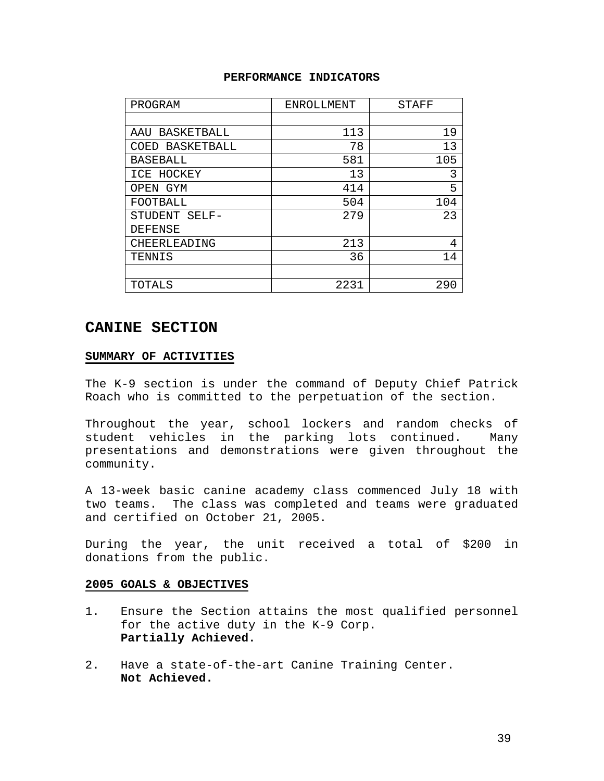#### **PERFORMANCE INDICATORS**

| PROGRAM            | ENROLLMENT | <b>STAFF</b> |
|--------------------|------------|--------------|
|                    |            |              |
| BASKETBALL<br>AAU  | 113        | 19           |
| BASKETBALL<br>COED | 78         | 13           |
| <b>BASEBALL</b>    | 581        | 105          |
| ICE HOCKEY         | 13         | 3            |
| GYM<br>OPEN        | 414        | 5            |
| FOOTBALL           | 504        | 104          |
| STUDENT<br>$SELF-$ | 279        | 23           |
| DEFENSE            |            |              |
| CHEERLEADING       | 213        | 4            |
| TENNIS             | 36         | 14           |
|                    |            |              |
| TOTALS             | 2231       | 290          |

## **CANINE SECTION**

#### **SUMMARY OF ACTIVITIES**

The K-9 section is under the command of Deputy Chief Patrick Roach who is committed to the perpetuation of the section.

Throughout the year, school lockers and random checks of student vehicles in the parking lots continued. Many presentations and demonstrations were given throughout the community.

A 13-week basic canine academy class commenced July 18 with two teams. The class was completed and teams were graduated and certified on October 21, 2005.

During the year, the unit received a total of \$200 in donations from the public.

- 1. Ensure the Section attains the most qualified personnel for the active duty in the K-9 Corp. **Partially Achieved.**
- 2. Have a state-of-the-art Canine Training Center. **Not Achieved.**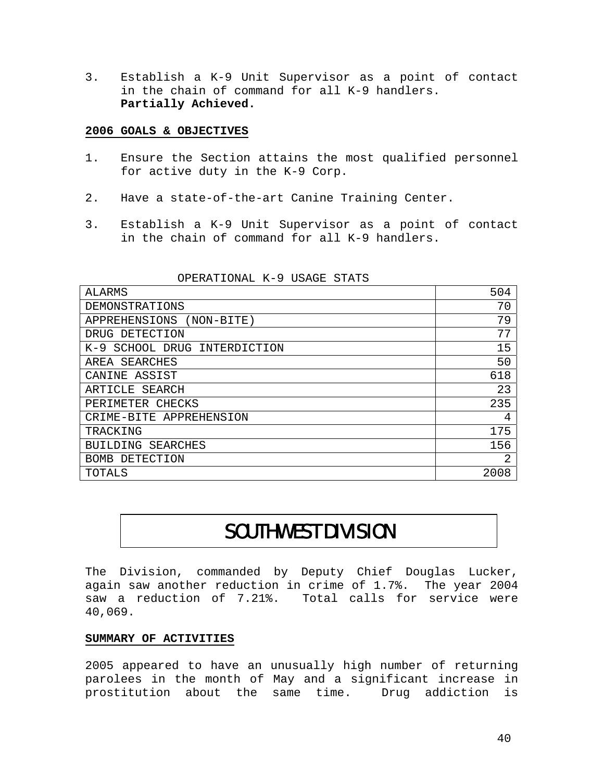3. Establish a K-9 Unit Supervisor as a point of contact in the chain of command for all K-9 handlers. **Partially Achieved.** 

#### **2006 GOALS & OBJECTIVES**

- 1. Ensure the Section attains the most qualified personnel for active duty in the K-9 Corp.
- 2. Have a state-of-the-art Canine Training Center.
- 3. Establish a K-9 Unit Supervisor as a point of contact in the chain of command for all K-9 handlers.

| ALARMS                            | 504  |
|-----------------------------------|------|
| DEMONSTRATIONS                    | 70   |
| APPREHENSIONS<br>(NON-BITE)       | 79   |
| DRUG DETECTION                    | 77   |
| SCHOOL DRUG INTERDICTION<br>$K-9$ | 15   |
| SEARCHES<br>AREA                  | 50   |
| CANINE ASSIST                     | 618  |
| SEARCH<br>ARTICLE                 | 23   |
| CHECKS<br>PERIMETER               | 235  |
| CRIME-BITE APPREHENSION           | 4    |
| TRACKING                          | 175  |
| SEARCHES<br><b>BUILDING</b>       | 156  |
| DETECTION<br>BOMB.                | 2    |
| TOTALS                            | 2008 |

OPERATIONAL K-9 USAGE STATS

# SOUTHWEST DIVISION

The Division, commanded by Deputy Chief Douglas Lucker, again saw another reduction in crime of 1.7%. The year 2004 saw a reduction of 7.21%. Total calls for service were 40,069.

#### **SUMMARY OF ACTIVITIES**

2005 appeared to have an unusually high number of returning parolees in the month of May and a significant increase in prostitution about the same time. Drug addiction is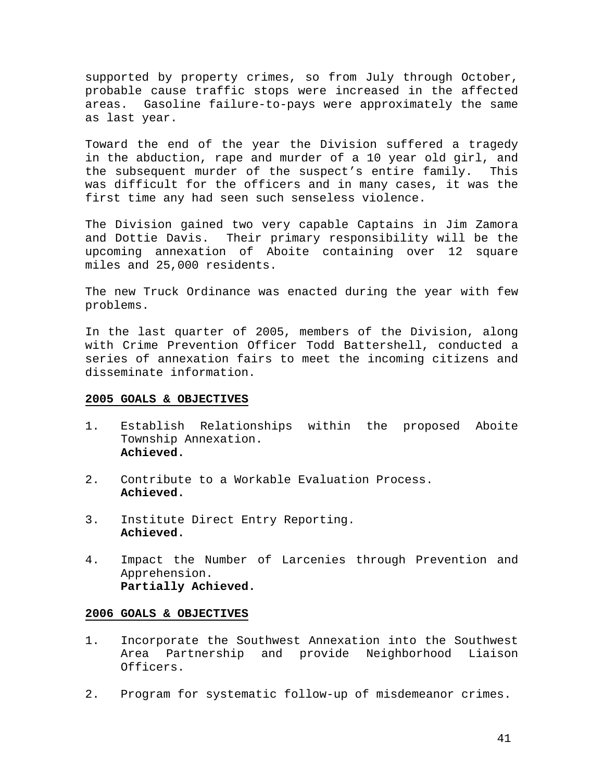supported by property crimes, so from July through October, probable cause traffic stops were increased in the affected areas. Gasoline failure-to-pays were approximately the same as last year.

Toward the end of the year the Division suffered a tragedy in the abduction, rape and murder of a 10 year old girl, and the subsequent murder of the suspect's entire family. This was difficult for the officers and in many cases, it was the first time any had seen such senseless violence.

The Division gained two very capable Captains in Jim Zamora and Dottie Davis. Their primary responsibility will be the upcoming annexation of Aboite containing over 12 square miles and 25,000 residents.

The new Truck Ordinance was enacted during the year with few problems.

In the last quarter of 2005, members of the Division, along with Crime Prevention Officer Todd Battershell, conducted a series of annexation fairs to meet the incoming citizens and disseminate information.

#### **2005 GOALS & OBJECTIVES**

- 1. Establish Relationships within the proposed Aboite Township Annexation. **Achieved.**
- 2. Contribute to a Workable Evaluation Process. **Achieved.**
- 3. Institute Direct Entry Reporting. **Achieved.**
- 4. Impact the Number of Larcenies through Prevention and Apprehension. **Partially Achieved.**

- 1. Incorporate the Southwest Annexation into the Southwest Area Partnership and provide Neighborhood Liaison Officers.
- 2. Program for systematic follow-up of misdemeanor crimes.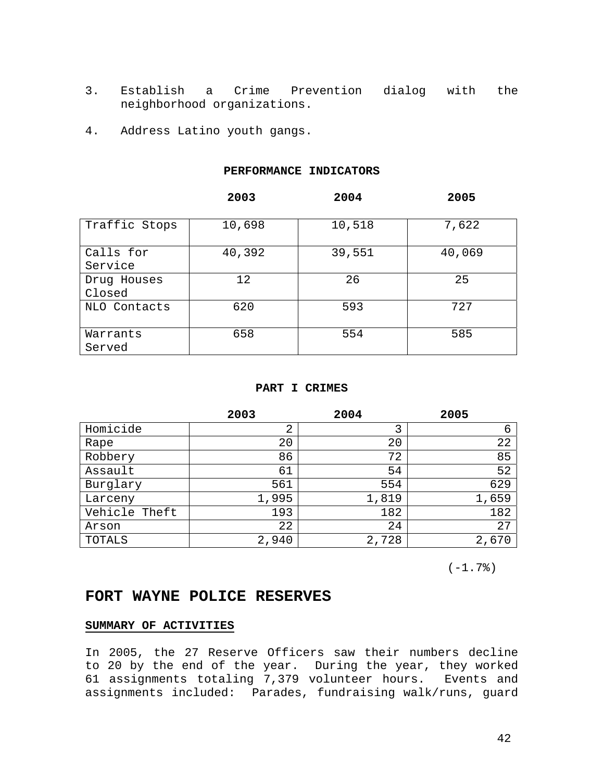- 3. Establish a Crime Prevention dialog with the neighborhood organizations.
- 4. Address Latino youth gangs.

#### **PERFORMANCE INDICATORS**

|               | 2003   | 2004   | 2005   |
|---------------|--------|--------|--------|
| Traffic Stops | 10,698 | 10,518 | 7,622  |
|               |        |        |        |
| Calls for     | 40,392 | 39,551 | 40,069 |
| Service       |        |        |        |
| Drug Houses   | 12     | 26     | 25     |
| Closed        |        |        |        |
| NLO Contacts  | 620    | 593    | 727    |
| Warrants      | 658    | 554    | 585    |
| Served        |        |        |        |

#### **PART I CRIMES**

|               | 2003  | 2004  | 2005  |
|---------------|-------|-------|-------|
| Homicide      | 2     | 3     | 6     |
| Rape          | 20    | 20    | 22    |
| Robbery       | 86    | 72    | 85    |
| Assault       | 61    | 54    | 52    |
| Burglary      | 561   | 554   | 629   |
| Larceny       | 1,995 | 1,819 | 1,659 |
| Vehicle Theft | 193   | 182   | 182   |
| Arson         | 22    | 24    | 27    |
| TOTALS        | 2,940 | 2,728 | 2,670 |

 $(-1.7)$ 

## **FORT WAYNE POLICE RESERVES**

#### **SUMMARY OF ACTIVITIES**

In 2005, the 27 Reserve Officers saw their numbers decline to 20 by the end of the year. During the year, they worked 61 assignments totaling 7,379 volunteer hours. Events and assignments included: Parades, fundraising walk/runs, guard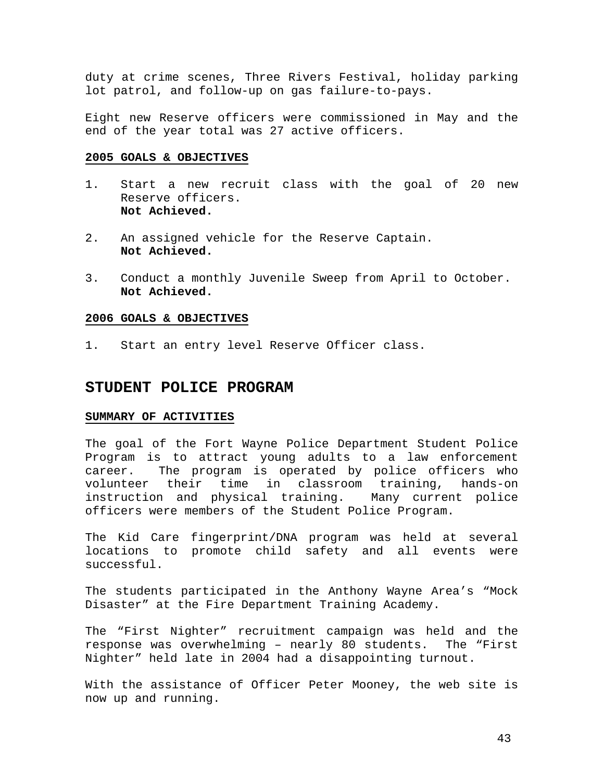duty at crime scenes, Three Rivers Festival, holiday parking lot patrol, and follow-up on gas failure-to-pays.

Eight new Reserve officers were commissioned in May and the end of the year total was 27 active officers.

#### **2005 GOALS & OBJECTIVES**

- 1. Start a new recruit class with the goal of 20 new Reserve officers. **Not Achieved.**
- 2. An assigned vehicle for the Reserve Captain. **Not Achieved.**
- 3. Conduct a monthly Juvenile Sweep from April to October. **Not Achieved.**

#### **2006 GOALS & OBJECTIVES**

1. Start an entry level Reserve Officer class.

#### **STUDENT POLICE PROGRAM**

#### **SUMMARY OF ACTIVITIES**

The goal of the Fort Wayne Police Department Student Police Program is to attract young adults to a law enforcement career. The program is operated by police officers who volunteer their time in classroom training, hands-on instruction and physical training. Many current police officers were members of the Student Police Program.

The Kid Care fingerprint/DNA program was held at several locations to promote child safety and all events were successful.

The students participated in the Anthony Wayne Area's "Mock Disaster" at the Fire Department Training Academy.

The "First Nighter" recruitment campaign was held and the response was overwhelming – nearly 80 students. The "First Nighter" held late in 2004 had a disappointing turnout.

With the assistance of Officer Peter Mooney, the web site is now up and running.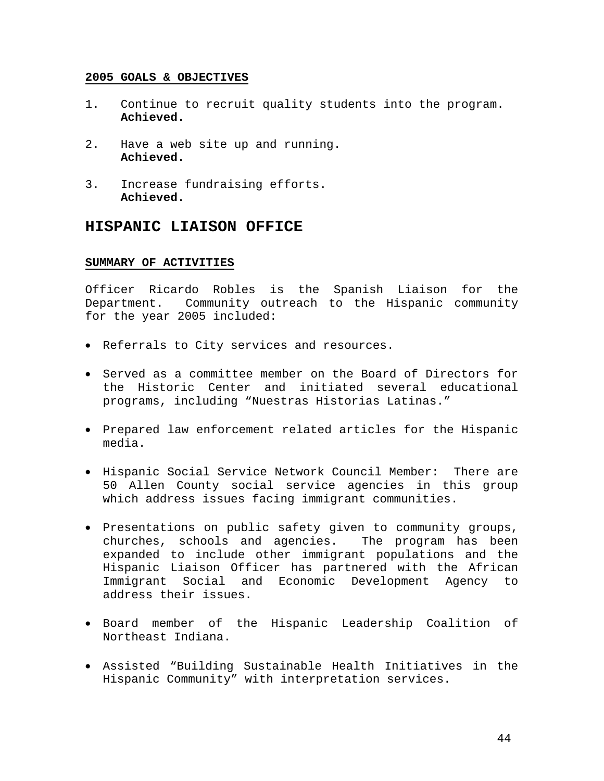- 1. Continue to recruit quality students into the program. **Achieved.**
- 2. Have a web site up and running. **Achieved.**
- 3. Increase fundraising efforts. **Achieved.**

### **HISPANIC LIAISON OFFICE**

#### **SUMMARY OF ACTIVITIES**

Officer Ricardo Robles is the Spanish Liaison for the Department. Community outreach to the Hispanic community for the year 2005 included:

- Referrals to City services and resources.
- Served as a committee member on the Board of Directors for the Historic Center and initiated several educational programs, including "Nuestras Historias Latinas."
- Prepared law enforcement related articles for the Hispanic media.
- Hispanic Social Service Network Council Member: There are 50 Allen County social service agencies in this group which address issues facing immigrant communities.
- Presentations on public safety given to community groups, churches, schools and agencies. The program has been expanded to include other immigrant populations and the Hispanic Liaison Officer has partnered with the African Immigrant Social and Economic Development Agency to address their issues.
- Board member of the Hispanic Leadership Coalition of Northeast Indiana.
- Assisted "Building Sustainable Health Initiatives in the Hispanic Community" with interpretation services.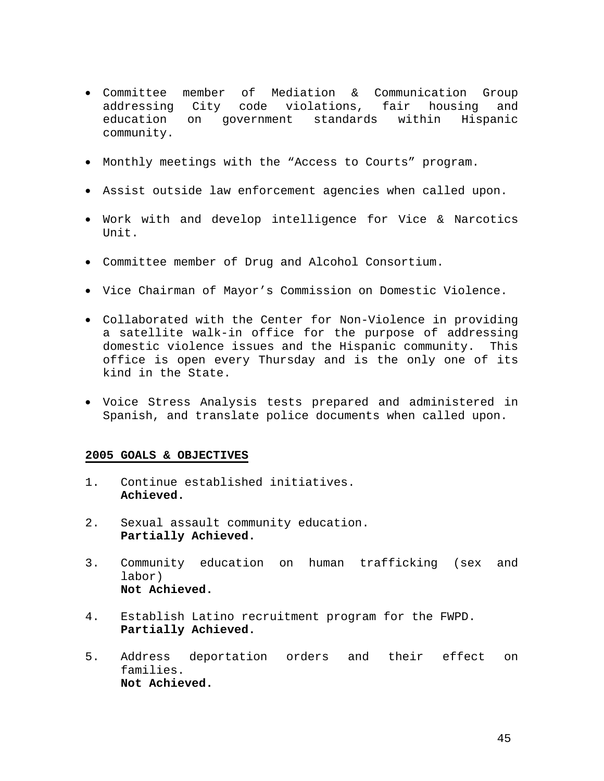- Committee member of Mediation & Communication Group addressing City code violations, fair housing and education on government standards within Hispanic community.
- Monthly meetings with the "Access to Courts" program.
- Assist outside law enforcement agencies when called upon.
- Work with and develop intelligence for Vice & Narcotics Unit.
- Committee member of Drug and Alcohol Consortium.
- Vice Chairman of Mayor's Commission on Domestic Violence.
- Collaborated with the Center for Non-Violence in providing a satellite walk-in office for the purpose of addressing domestic violence issues and the Hispanic community. This office is open every Thursday and is the only one of its kind in the State.
- Voice Stress Analysis tests prepared and administered in Spanish, and translate police documents when called upon.

- 1. Continue established initiatives. **Achieved.**
- 2. Sexual assault community education. **Partially Achieved.**
- 3. Community education on human trafficking (sex and labor) **Not Achieved.**
- 4. Establish Latino recruitment program for the FWPD. **Partially Achieved.**
- 5. Address deportation orders and their effect on families. **Not Achieved.**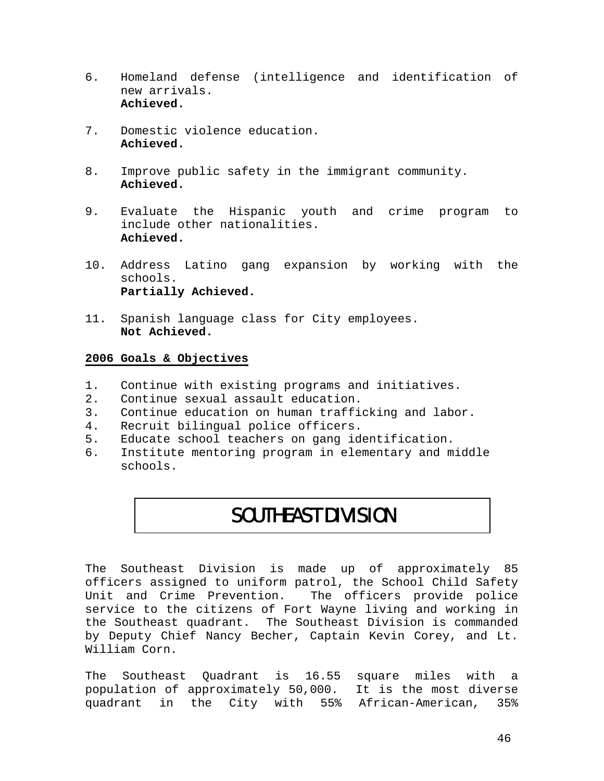- 6. Homeland defense (intelligence and identification of new arrivals. **Achieved.**
- 7. Domestic violence education. **Achieved.**
- 8. Improve public safety in the immigrant community. **Achieved.**
- 9. Evaluate the Hispanic youth and crime program to include other nationalities. **Achieved.**
- 10. Address Latino gang expansion by working with the schools. **Partially Achieved.**
- 11. Spanish language class for City employees. **Not Achieved.**

#### **2006 Goals & Objectives**

- 1. Continue with existing programs and initiatives.
- 2. Continue sexual assault education.
- 3. Continue education on human trafficking and labor.<br>4. Recruit bilingual police officers.
- Recruit bilingual police officers.
- 5. Educate school teachers on gang identification.
- 6. Institute mentoring program in elementary and middle schools.

## SOUTHEAST DIVISION

The Southeast Division is made up of approximately 85 officers assigned to uniform patrol, the School Child Safety Unit and Crime Prevention. The officers provide police service to the citizens of Fort Wayne living and working in the Southeast quadrant. The Southeast Division is commanded by Deputy Chief Nancy Becher, Captain Kevin Corey, and Lt. William Corn.

The Southeast Quadrant is 16.55 square miles with a population of approximately 50,000. It is the most diverse quadrant in the City with 55% African-American, 35%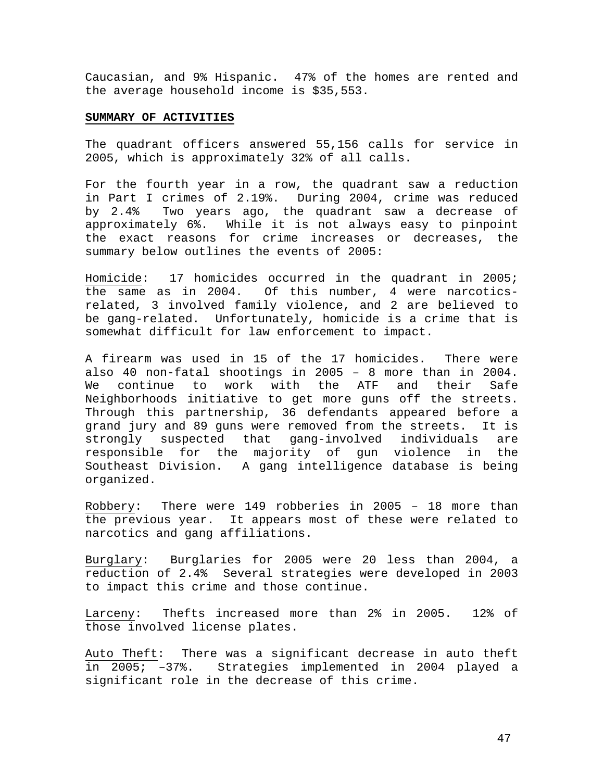Caucasian, and 9% Hispanic. 47% of the homes are rented and the average household income is \$35,553.

#### **SUMMARY OF ACTIVITIES**

The quadrant officers answered 55,156 calls for service in 2005, which is approximately 32% of all calls.

For the fourth year in a row, the quadrant saw a reduction in Part I crimes of 2.19%. During 2004, crime was reduced by 2.4% Two years ago, the quadrant saw a decrease of approximately 6%. While it is not always easy to pinpoint the exact reasons for crime increases or decreases, the summary below outlines the events of 2005:

Homicide: 17 homicides occurred in the quadrant in 2005; the same as in 2004. Of this number, 4 were narcoticsrelated, 3 involved family violence, and 2 are believed to be gang-related. Unfortunately, homicide is a crime that is somewhat difficult for law enforcement to impact.

A firearm was used in 15 of the 17 homicides. There were also 40 non-fatal shootings in 2005 – 8 more than in 2004. We continue to work with the ATF and their Safe Neighborhoods initiative to get more guns off the streets. Through this partnership, 36 defendants appeared before a grand jury and 89 guns were removed from the streets. It is strongly suspected that gang-involved individuals are responsible for the majority of gun violence in the Southeast Division. A gang intelligence database is being organized.

Robbery: There were 149 robberies in 2005 – 18 more than the previous year. It appears most of these were related to narcotics and gang affiliations.

Burglary: Burglaries for 2005 were 20 less than 2004, a reduction of 2.4% Several strategies were developed in 2003 to impact this crime and those continue.

Larceny: Thefts increased more than 2% in 2005. 12% of those involved license plates.

Auto Theft: There was a significant decrease in auto theft in 2005; –37%. Strategies implemented in 2004 played a significant role in the decrease of this crime.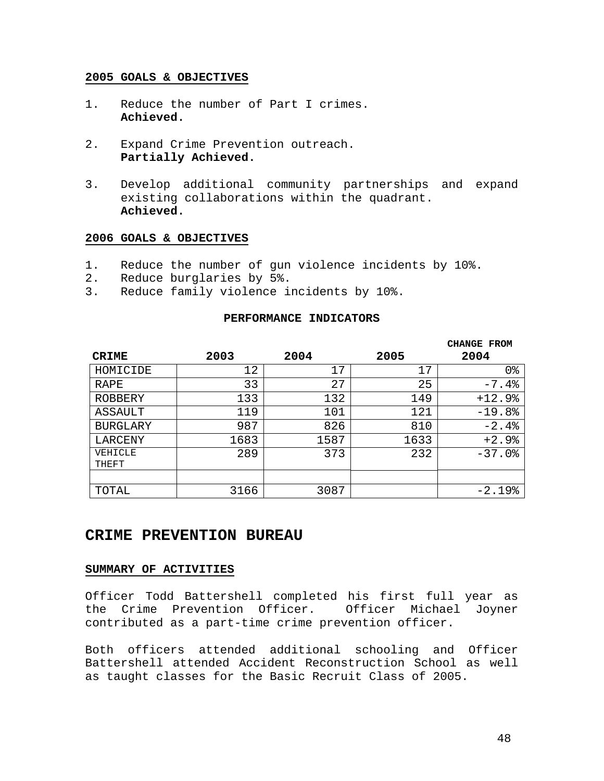- 1. Reduce the number of Part I crimes. **Achieved.**
- 2. Expand Crime Prevention outreach. **Partially Achieved.**
- 3. Develop additional community partnerships and expand existing collaborations within the quadrant. **Achieved.**

#### **2006 GOALS & OBJECTIVES**

- 1. Reduce the number of gun violence incidents by 10%.
- 2. Reduce burglaries by 5%.
- 3. Reduce family violence incidents by 10%.

#### **PERFORMANCE INDICATORS**

|                 |      |      |      | <b>CHANGE FROM</b> |
|-----------------|------|------|------|--------------------|
| <b>CRIME</b>    | 2003 | 2004 | 2005 | 2004               |
| HOMICIDE        | 12   | 17   | 17   | 0 <sub>8</sub>     |
| RAPE            | 33   | 27   | 25   | $-7.4%$            |
| ROBBERY         | 133  | 132  | 149  | $+12.9%$           |
| ASSAULT         | 119  | 101  | 121  | $-19.8%$           |
| <b>BURGLARY</b> | 987  | 826  | 810  | $-2.4%$            |
| LARCENY         | 1683 | 1587 | 1633 | $+2.9%$            |
| VEHICLE         | 289  | 373  | 232  | $-37.0$ $8$        |
| THEFT           |      |      |      |                    |
|                 |      |      |      |                    |
| TOTAL           | 3166 | 3087 |      | $-2.19%$           |

## **CRIME PREVENTION BUREAU**

#### **SUMMARY OF ACTIVITIES**

Officer Todd Battershell completed his first full year as the Crime Prevention Officer. Officer Michael Joyner contributed as a part-time crime prevention officer.

Both officers attended additional schooling and Officer Battershell attended Accident Reconstruction School as well as taught classes for the Basic Recruit Class of 2005.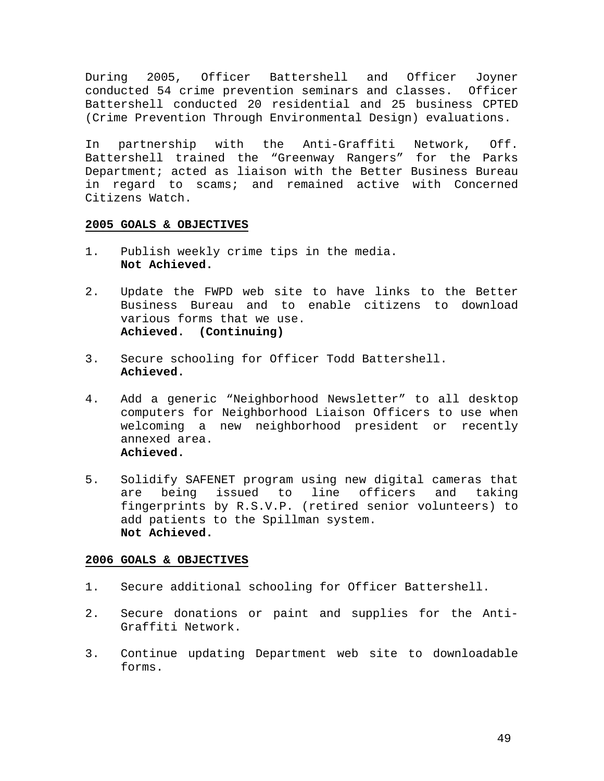During 2005, Officer Battershell and Officer Joyner conducted 54 crime prevention seminars and classes. Officer Battershell conducted 20 residential and 25 business CPTED (Crime Prevention Through Environmental Design) evaluations.

In partnership with the Anti-Graffiti Network, Off. Battershell trained the "Greenway Rangers" for the Parks Department; acted as liaison with the Better Business Bureau in regard to scams; and remained active with Concerned Citizens Watch.

#### **2005 GOALS & OBJECTIVES**

- 1. Publish weekly crime tips in the media. **Not Achieved.**
- 2. Update the FWPD web site to have links to the Better Business Bureau and to enable citizens to download various forms that we use. **Achieved. (Continuing)**
- 3. Secure schooling for Officer Todd Battershell. **Achieved.**
- 4. Add a generic "Neighborhood Newsletter" to all desktop computers for Neighborhood Liaison Officers to use when welcoming a new neighborhood president or recently annexed area. **Achieved.**
- 5. Solidify SAFENET program using new digital cameras that are being issued to line officers and taking fingerprints by R.S.V.P. (retired senior volunteers) to add patients to the Spillman system. **Not Achieved.**

- 1. Secure additional schooling for Officer Battershell.
- 2. Secure donations or paint and supplies for the Anti-Graffiti Network.
- 3. Continue updating Department web site to downloadable forms.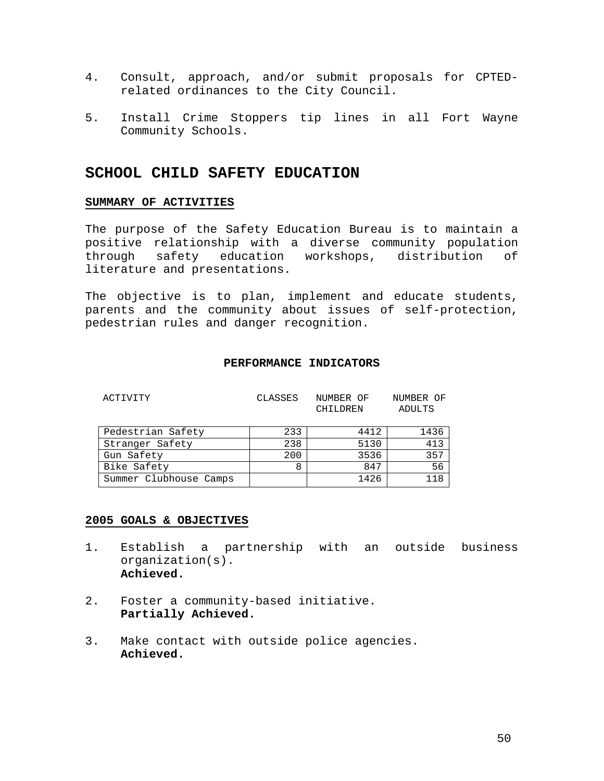- 4. Consult, approach, and/or submit proposals for CPTEDrelated ordinances to the City Council.
- 5. Install Crime Stoppers tip lines in all Fort Wayne Community Schools.

## **SCHOOL CHILD SAFETY EDUCATION**

#### **SUMMARY OF ACTIVITIES**

The purpose of the Safety Education Bureau is to maintain a positive relationship with a diverse community population through safety education workshops, distribution of literature and presentations.

The objective is to plan, implement and educate students, parents and the community about issues of self-protection, pedestrian rules and danger recognition.

#### **PERFORMANCE INDICATORS**

| ACTIVITY               | CLASSES | NUMBER OF<br>CHILDREN | NUMBER OF<br>ADULTS |
|------------------------|---------|-----------------------|---------------------|
| Pedestrian Safety      | 233     | 4412                  | 1436                |
| Stranger Safety        | 238     | 5130                  | 413                 |
| Gun Safety             | 200     | 3536                  | 357                 |
| Bike Safety            | 8       | 847                   | 56                  |
| Summer Clubhouse Camps |         | 1426                  | 118                 |

- 1. Establish a partnership with an outside business organization(s). **Achieved.**
- 2. Foster a community-based initiative. **Partially Achieved.**
- 3. Make contact with outside police agencies. **Achieved.**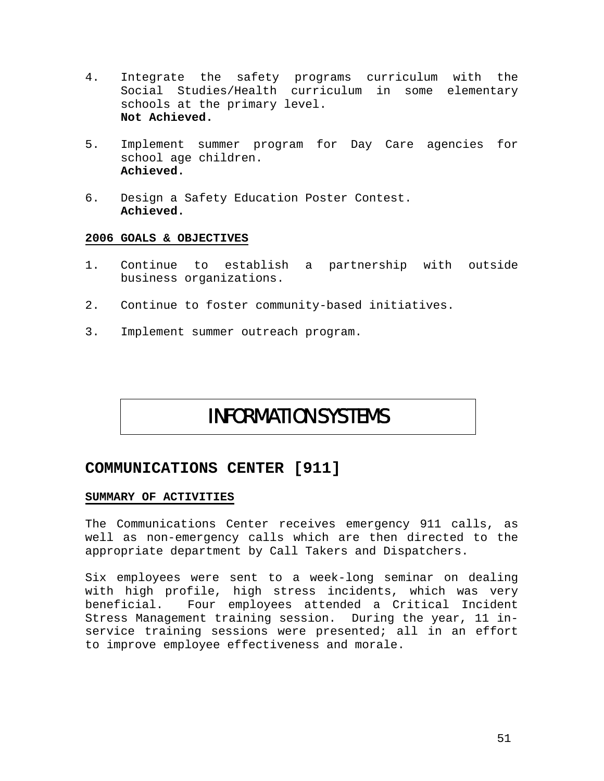- 4. Integrate the safety programs curriculum with the Social Studies/Health curriculum in some elementary schools at the primary level. **Not Achieved.**
- 5. Implement summer program for Day Care agencies for school age children. **Achieved.**
- 6. Design a Safety Education Poster Contest. **Achieved.**

- 1. Continue to establish a partnership with outside business organizations.
- 2. Continue to foster community-based initiatives.
- 3. Implement summer outreach program.

# INFORMATION SYSTEMS

## **COMMUNICATIONS CENTER [911]**

#### **SUMMARY OF ACTIVITIES**

The Communications Center receives emergency 911 calls, as well as non-emergency calls which are then directed to the appropriate department by Call Takers and Dispatchers.

Six employees were sent to a week-long seminar on dealing with high profile, high stress incidents, which was very beneficial. Four employees attended a Critical Incident Stress Management training session. During the year, 11 inservice training sessions were presented; all in an effort to improve employee effectiveness and morale.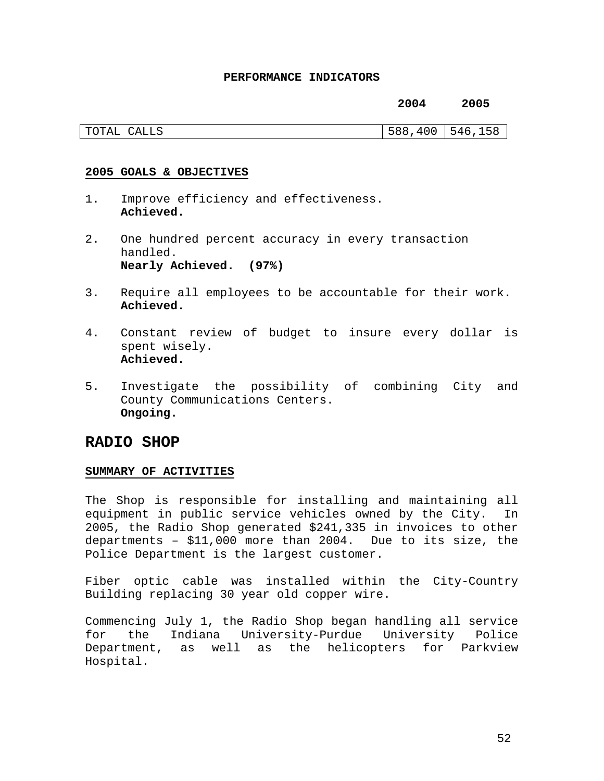#### **PERFORMANCE INDICATORS**

#### **2004 2005**

| TOTAL | 588, | 158  |
|-------|------|------|
| CALLS | 400  | 546. |

#### **2005 GOALS & OBJECTIVES**

- 1. Improve efficiency and effectiveness. **Achieved.**
- 2. One hundred percent accuracy in every transaction handled. **Nearly Achieved. (97%)**
- 3. Require all employees to be accountable for their work. **Achieved.**
- 4. Constant review of budget to insure every dollar is spent wisely. **Achieved.**
- 5. Investigate the possibility of combining City and County Communications Centers. **Ongoing.**

## **RADIO SHOP**

#### **SUMMARY OF ACTIVITIES**

The Shop is responsible for installing and maintaining all equipment in public service vehicles owned by the City. In 2005, the Radio Shop generated \$241,335 in invoices to other departments – \$11,000 more than 2004. Due to its size, the Police Department is the largest customer.

Fiber optic cable was installed within the City-Country Building replacing 30 year old copper wire.

Commencing July 1, the Radio Shop began handling all service for the Indiana University-Purdue University Police Department, as well as the helicopters for Parkview Hospital.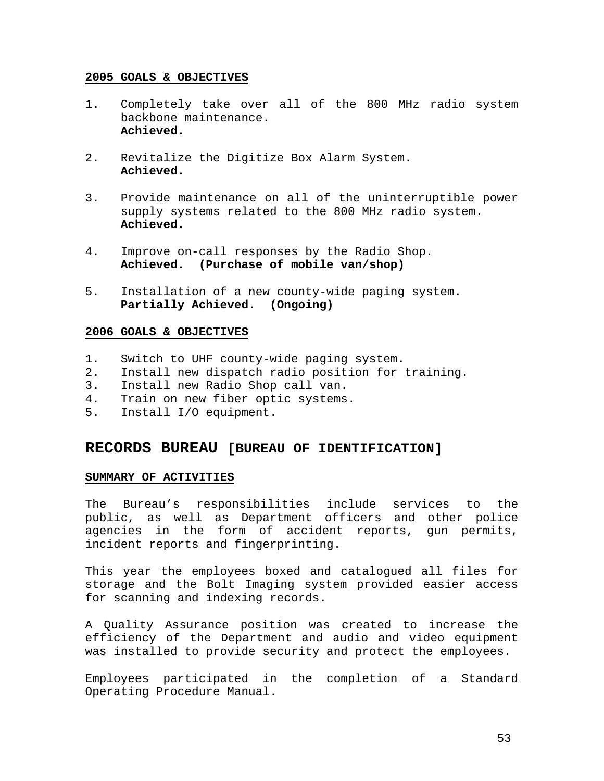- 1. Completely take over all of the 800 MHz radio system backbone maintenance. **Achieved.**
- 2. Revitalize the Digitize Box Alarm System. **Achieved.**
- 3. Provide maintenance on all of the uninterruptible power supply systems related to the 800 MHz radio system. **Achieved.**
- 4. Improve on-call responses by the Radio Shop. **Achieved. (Purchase of mobile van/shop)**
- 5. Installation of a new county-wide paging system. **Partially Achieved. (Ongoing)**

#### **2006 GOALS & OBJECTIVES**

- 1. Switch to UHF county-wide paging system.
- 2. Install new dispatch radio position for training.
- 3. Install new Radio Shop call van.
- 4. Train on new fiber optic systems.
- 5. Install I/O equipment.

## **RECORDS BUREAU [BUREAU OF IDENTIFICATION]**

#### **SUMMARY OF ACTIVITIES**

The Bureau's responsibilities include services to the public, as well as Department officers and other police agencies in the form of accident reports, gun permits, incident reports and fingerprinting.

This year the employees boxed and catalogued all files for storage and the Bolt Imaging system provided easier access for scanning and indexing records.

A Quality Assurance position was created to increase the efficiency of the Department and audio and video equipment was installed to provide security and protect the employees.

Employees participated in the completion of a Standard Operating Procedure Manual.